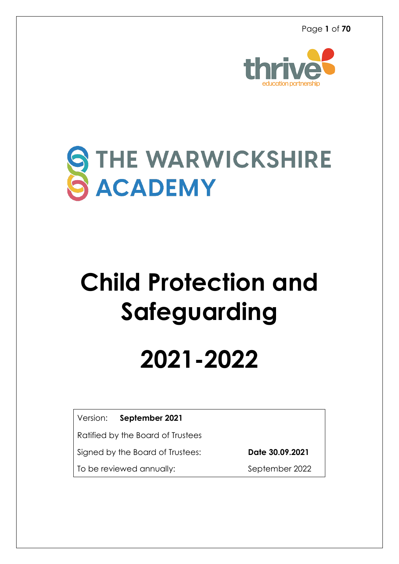

# STHE WARWICKSHIRE

# **Child Protection and Safeguarding**

# **2021-2022**

Version: **September 2021**

Ratified by the Board of Trustees

Signed by the Board of Trustees: **Date 30.09.2021**

To be reviewed annually: September 2022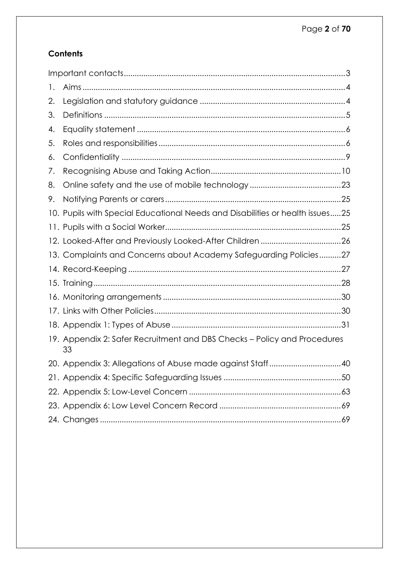# **Contents**

<span id="page-1-0"></span>

| 1. |                                                                                |
|----|--------------------------------------------------------------------------------|
| 2. |                                                                                |
| 3. |                                                                                |
| 4. |                                                                                |
| 5. |                                                                                |
| 6. |                                                                                |
| 7. |                                                                                |
| 8. |                                                                                |
| 9. |                                                                                |
|    | 10. Pupils with Special Educational Needs and Disabilities or health issues25  |
|    |                                                                                |
|    |                                                                                |
|    | 13. Complaints and Concerns about Academy Safeguarding Policies27              |
|    |                                                                                |
|    |                                                                                |
|    |                                                                                |
|    |                                                                                |
|    |                                                                                |
|    | 19. Appendix 2: Safer Recruitment and DBS Checks - Policy and Procedures<br>33 |
|    | 20. Appendix 3: Allegations of Abuse made against Staff40                      |
|    |                                                                                |
|    |                                                                                |
|    |                                                                                |
|    |                                                                                |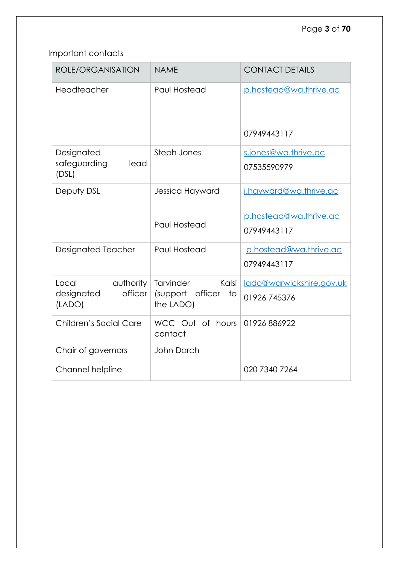# Important contacts

| ROLE/ORGANISATION               | <b>NAME</b>                      | <b>CONTACT DETAILS</b>   |  |
|---------------------------------|----------------------------------|--------------------------|--|
| Headteacher                     | Paul Hostead                     | p.hostead@wa.thrive.ac   |  |
|                                 |                                  | 07949443117              |  |
| Designated                      | Steph Jones                      | s.jones@wa.thrive.ac     |  |
| safeguarding<br>lead<br>(DSL)   |                                  | 07535590979              |  |
| Deputy DSL                      | Jessica Hayward                  | j.hayward@wa.thrive.ac   |  |
|                                 |                                  | p.hostead@wa.thrive.ac   |  |
|                                 | Paul Hostead                     | 07949443117              |  |
| Designated Teacher              | Paul Hostead                     | p.hostead@wa.thrive.ac   |  |
|                                 |                                  | 07949443117              |  |
| authority<br>Local              | Tarvinder<br>Kalsi               | lado@warwickshire.gov.uk |  |
| officer<br>designated<br>(LADO) | (support officer to<br>the LADO) | 01926 745376             |  |
| <b>Children's Social Care</b>   | WCC Out of hours<br>contact      | 01926886922              |  |
| Chair of governors              | John Darch                       |                          |  |
| Channel helpline                |                                  | 020 7340 7264            |  |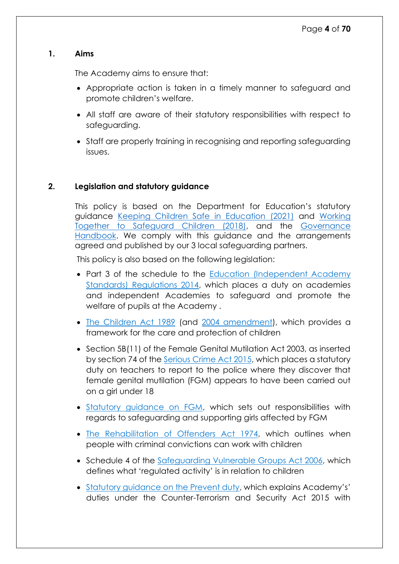# <span id="page-3-0"></span>**1. Aims**

The Academy aims to ensure that:

- Appropriate action is taken in a timely manner to safeguard and promote children's welfare.
- All staff are aware of their statutory responsibilities with respect to safeguarding.
- Staff are properly training in recognising and reporting safeguarding issues.

# <span id="page-3-1"></span>**2. Legislation and statutory guidance**

This policy is based on the Department for Education's statutory guidance [Keeping Children Safe in Education \(2021\)](https://www.gov.uk/government/publications/keeping-children-safe-in-education--2) and [Working](https://www.gov.uk/government/publications/working-together-to-safeguard-children--2)  [Together to Safeguard Children \(2018\),](https://www.gov.uk/government/publications/working-together-to-safeguard-children--2) and the [Governance](https://www.gov.uk/government/publications/governance-handbook)  [Handbook.](https://www.gov.uk/government/publications/governance-handbook) We comply with this guidance and the arrangements agreed and published by our 3 local safeguarding partners.

This policy is also based on the following legislation:

- Part 3 of the schedule to the **Education (Independent Academy** [Standards\) Regulations 2014,](http://www.legislation.gov.uk/uksi/2014/3283/schedule/part/3/made) which places a duty on academies and independent Academies to safeguard and promote the welfare of pupils at the Academy .
- [The Children Act 1989](http://www.legislation.gov.uk/ukpga/1989/41) (and [2004 amendment\)](http://www.legislation.gov.uk/ukpga/2004/31/contents), which provides a framework for the care and protection of children
- Section 5B(11) of the Female Genital Mutilation Act 2003, as inserted by section 74 of the [Serious Crime Act 2015,](http://www.legislation.gov.uk/ukpga/2015/9/part/5/crossheading/female-genital-mutilation) which places a statutory duty on teachers to report to the police where they discover that female genital mutilation (FGM) appears to have been carried out on a girl under 18
- [Statutory guidance on FGM,](https://www.gov.uk/government/publications/multi-agency-statutory-guidance-on-female-genital-mutilation) which sets out responsibilities with regards to safeguarding and supporting girls affected by FGM
- [The Rehabilitation of Offenders Act 1974,](http://www.legislation.gov.uk/ukpga/1974/53) which outlines when people with criminal convictions can work with children
- Schedule 4 of the [Safeguarding Vulnerable Groups Act 2006,](http://www.legislation.gov.uk/ukpga/2006/47/schedule/4) which defines what 'regulated activity' is in relation to children
- [Statutory guidance on the Prevent duty,](https://www.gov.uk/government/publications/prevent-duty-guidance) which explains Academy's' duties under the Counter-Terrorism and Security Act 2015 with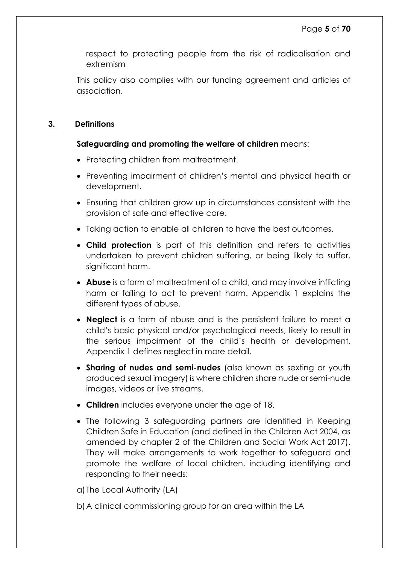respect to protecting people from the risk of radicalisation and extremism

This policy also complies with our funding agreement and articles of association.

# <span id="page-4-0"></span>**3. Definitions**

# **Safeguarding and promoting the welfare of children** means:

- Protecting children from maltreatment.
- Preventing impairment of children's mental and physical health or development.
- Ensuring that children grow up in circumstances consistent with the provision of safe and effective care.
- Taking action to enable all children to have the best outcomes.
- **Child protection** is part of this definition and refers to activities undertaken to prevent children suffering, or being likely to suffer, significant harm.
- **Abuse** is a form of maltreatment of a child, and may involve inflicting harm or failing to act to prevent harm. Appendix 1 explains the different types of abuse.
- **Neglect** is a form of abuse and is the persistent failure to meet a child's basic physical and/or psychological needs, likely to result in the serious impairment of the child's health or development. Appendix 1 defines neglect in more detail.
- **Sharing of nudes and semi-nudes** (also known as sexting or youth produced sexual imagery) is where children share nude or semi-nude images, videos or live streams.
- **Children** includes everyone under the age of 18.
- The following 3 safeguarding partners are identified in Keeping Children Safe in Education (and defined in the Children Act 2004, as amended by chapter 2 of the Children and Social Work Act 2017). They will make arrangements to work together to safeguard and promote the welfare of local children, including identifying and responding to their needs:

a) The Local Authority (LA)

b)A clinical commissioning group for an area within the LA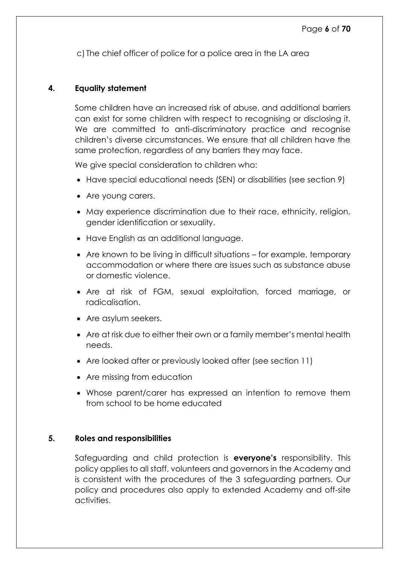c) The chief officer of police for a police area in the LA area

# <span id="page-5-0"></span>**4. Equality statement**

Some children have an increased risk of abuse, and additional barriers can exist for some children with respect to recognising or disclosing it. We are committed to anti-discriminatory practice and recognise children's diverse circumstances. We ensure that all children have the same protection, regardless of any barriers they may face.

We give special consideration to children who:

- Have special educational needs (SEN) or disabilities (see section 9)
- Are young carers.
- May experience discrimination due to their race, ethnicity, religion, gender identification or sexuality.
- Have English as an additional language.
- Are known to be living in difficult situations for example, temporary accommodation or where there are issues such as substance abuse or domestic violence.
- Are at risk of FGM, sexual exploitation, forced marriage, or radicalisation.
- Are asylum seekers.
- Are at risk due to either their own or a family member's mental health needs.
- Are looked after or previously looked after (see section 11)
- Are missing from education
- Whose parent/carer has expressed an intention to remove them from school to be home educated

# <span id="page-5-1"></span>**5. Roles and responsibilities**

Safeguarding and child protection is **everyone's** responsibility. This policy applies to all staff, volunteers and governors in the Academy and is consistent with the procedures of the 3 safeguarding partners. Our policy and procedures also apply to extended Academy and off-site activities.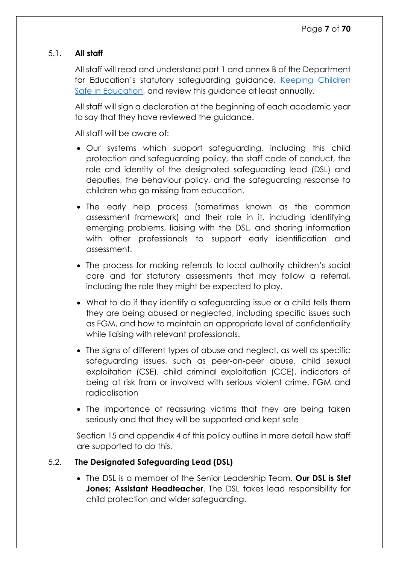# 5.1. **All staff**

All staff will read and understand part 1 and annex B of the Department for Education's statutory safeguarding guidance, [Keeping Children](https://www.gov.uk/government/publications/keeping-children-safe-in-education--2)  [Safe in Education,](https://www.gov.uk/government/publications/keeping-children-safe-in-education--2) and review this guidance at least annually.

All staff will sign a declaration at the beginning of each academic year to say that they have reviewed the guidance.

All staff will be aware of:

- Our systems which support safeguarding, including this child protection and safeguarding policy, the staff code of conduct, the role and identity of the designated safeguarding lead (DSL) and deputies, the behaviour policy, and the safeguarding response to children who go missing from education.
- The early help process (sometimes known as the common assessment framework) and their role in it, including identifying emerging problems, liaising with the DSL, and sharing information with other professionals to support early identification and assessment.
- The process for making referrals to local authority children's social care and for statutory assessments that may follow a referral, including the role they might be expected to play.
- What to do if they identify a safeguarding issue or a child tells them they are being abused or neglected, including specific issues such as FGM, and how to maintain an appropriate level of confidentiality while liaising with relevant professionals.
- The signs of different types of abuse and neglect, as well as specific safeguarding issues, such as peer-on-peer abuse, child sexual exploitation (CSE), child criminal exploitation (CCE), indicators of being at risk from or involved with serious violent crime, FGM and radicalisation
- The importance of reassuring victims that they are being taken seriously and that they will be supported and kept safe

Section 15 and appendix 4 of this policy outline in more detail how staff are supported to do this.

# 5.2. **The Designated Safeguarding Lead (DSL)**

 The DSL is a member of the Senior Leadership Team. **Our DSL is Stef Jones: Assistant Headteacher.** The DSL takes lead responsibility for child protection and wider safeguarding.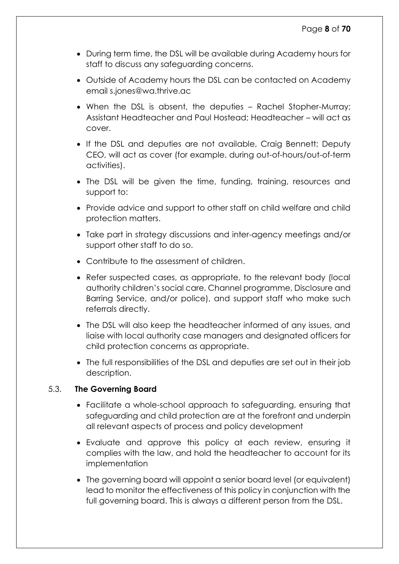- During term time, the DSL will be available during Academy hours for staff to discuss any safeguarding concerns.
- Outside of Academy hours the DSL can be contacted on Academy email s.jones@wa.thrive.ac
- When the DSL is absent, the deputies Rachel Stopher-Murray; Assistant Headteacher and Paul Hostead; Headteacher – will act as cover.
- If the DSL and deputies are not available, Craig Bennett; Deputy CEO, will act as cover (for example, during out-of-hours/out-of-term activities).
- The DSL will be given the time, funding, training, resources and support to:
- Provide advice and support to other staff on child welfare and child protection matters.
- Take part in strategy discussions and inter-agency meetings and/or support other staff to do so.
- Contribute to the assessment of children.
- Refer suspected cases, as appropriate, to the relevant body (local authority children's social care, Channel programme, Disclosure and Barring Service, and/or police), and support staff who make such referrals directly.
- The DSL will also keep the headteacher informed of any issues, and liaise with local authority case managers and designated officers for child protection concerns as appropriate.
- The full responsibilities of the DSL and deputies are set out in their job description.

# 5.3. **The Governing Board**

- Facilitate a whole-school approach to safeguarding, ensuring that safeguarding and child protection are at the forefront and underpin all relevant aspects of process and policy development
- Evaluate and approve this policy at each review, ensuring it complies with the law, and hold the headteacher to account for its implementation
- The governing board will appoint a senior board level (or equivalent) lead to monitor the effectiveness of this policy in conjunction with the full governing board. This is always a different person from the DSL.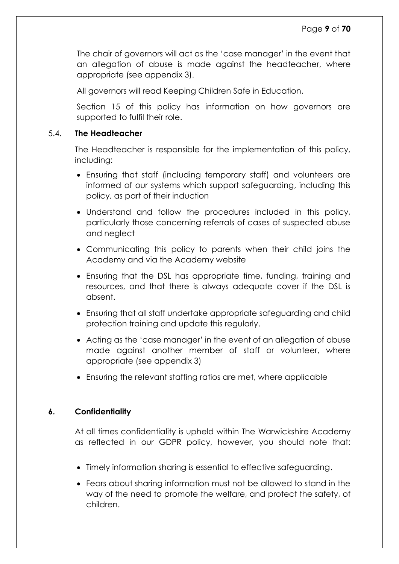The chair of governors will act as the 'case manager' in the event that an allegation of abuse is made against the headteacher, where appropriate (see appendix 3).

All governors will read Keeping Children Safe in Education.

Section 15 of this policy has information on how governors are supported to fulfil their role.

#### 5.4. **The Headteacher**

The Headteacher is responsible for the implementation of this policy, including:

- Ensuring that staff (including temporary staff) and volunteers are informed of our systems which support safeguarding, including this policy, as part of their induction
- Understand and follow the procedures included in this policy, particularly those concerning referrals of cases of suspected abuse and neglect
- Communicating this policy to parents when their child joins the Academy and via the Academy website
- Ensuring that the DSL has appropriate time, funding, training and resources, and that there is always adequate cover if the DSL is absent.
- Ensuring that all staff undertake appropriate safeguarding and child protection training and update this regularly.
- Acting as the 'case manager' in the event of an allegation of abuse made against another member of staff or volunteer, where appropriate (see appendix 3)
- Ensuring the relevant staffing ratios are met, where applicable

# <span id="page-8-0"></span>**6. Confidentiality**

At all times confidentiality is upheld within The Warwickshire Academy as reflected in our GDPR policy, however, you should note that:

- Timely information sharing is essential to effective safeguarding.
- Fears about sharing information must not be allowed to stand in the way of the need to promote the welfare, and protect the safety, of children.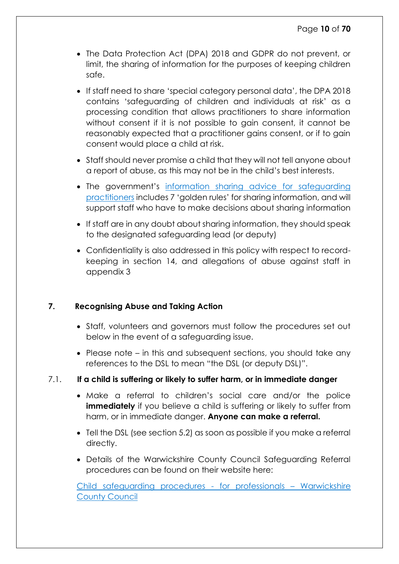- The Data Protection Act (DPA) 2018 and GDPR do not prevent, or limit, the sharing of information for the purposes of keeping children safe.
- If staff need to share 'special category personal data', the DPA 2018 contains 'safeguarding of children and individuals at risk' as a processing condition that allows practitioners to share information without consent if it is not possible to gain consent, it cannot be reasonably expected that a practitioner gains consent, or if to gain consent would place a child at risk.
- Staff should never promise a child that they will not tell anyone about a report of abuse, as this may not be in the child's best interests.
- The government's information sharing advice for safeguarding [practitioners](https://www.gov.uk/government/publications/safeguarding-practitioners-information-sharing-advice) includes 7 'golden rules' for sharing information, and will support staff who have to make decisions about sharing information
- If staff are in any doubt about sharing information, they should speak to the designated safeguarding lead (or deputy)
- Confidentiality is also addressed in this policy with respect to recordkeeping in section 14, and allegations of abuse against staff in appendix 3

# <span id="page-9-0"></span>**7. Recognising Abuse and Taking Action**

- Staff, volunteers and governors must follow the procedures set out below in the event of a safeguarding issue.
- Please note in this and subsequent sections, you should take any references to the DSL to mean "the DSL (or deputy DSL)".

# 7.1. **If a child is suffering or likely to suffer harm, or in immediate danger**

- Make a referral to children's social care and/or the police **immediately** if you believe a child is suffering or likely to suffer from harm, or in immediate danger. **Anyone can make a referral.**
- Tell the DSL (see section 5.2) as soon as possible if you make a referral directly.
- Details of the Warwickshire County Council Safeguarding Referral procedures can be found on their website here:

[Child safeguarding procedures -](https://www.warwickshire.gov.uk/safeguardingreferral) for professionals – Warwickshire [County Council](https://www.warwickshire.gov.uk/safeguardingreferral)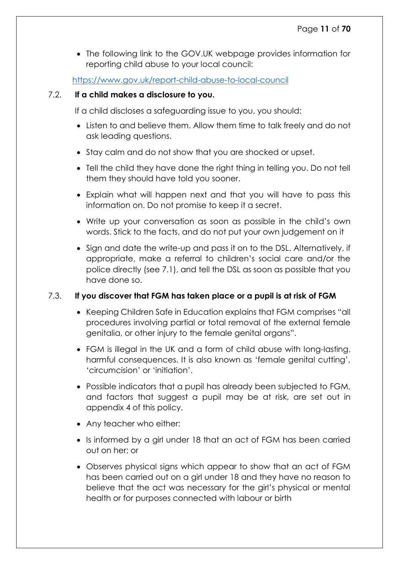The following link to the GOV.UK webpage provides information for reporting child abuse to your local council:

<https://www.gov.uk/report-child-abuse-to-local-council>

# 7.2. **If a child makes a disclosure to you.**

If a child discloses a safeguarding issue to you, you should:

- Listen to and believe them. Allow them time to talk freely and do not ask leading questions.
- Stay calm and do not show that you are shocked or upset.
- Tell the child they have done the right thing in telling you. Do not tell them they should have told you sooner.
- Explain what will happen next and that you will have to pass this information on. Do not promise to keep it a secret.
- Write up your conversation as soon as possible in the child's own words. Stick to the facts, and do not put your own judgement on it
- Sign and date the write-up and pass it on to the DSL. Alternatively, if appropriate, make a referral to children's social care and/or the police directly (see 7.1), and tell the DSL as soon as possible that you have done so.

# 7.3. **If you discover that FGM has taken place or a pupil is at risk of FGM**

- Keeping Children Safe in Education explains that FGM comprises "all procedures involving partial or total removal of the external female genitalia, or other injury to the female genital organs".
- FGM is illegal in the UK and a form of child abuse with long-lasting, harmful consequences. It is also known as 'female genital cutting', 'circumcision' or 'initiation'.
- Possible indicators that a pupil has already been subjected to FGM, and factors that suggest a pupil may be at risk, are set out in appendix 4 of this policy.
- Any teacher who either:
- Is informed by a girl under 18 that an act of FGM has been carried out on her; or
- Observes physical signs which appear to show that an act of FGM has been carried out on a girl under 18 and they have no reason to believe that the act was necessary for the girl's physical or mental health or for purposes connected with labour or birth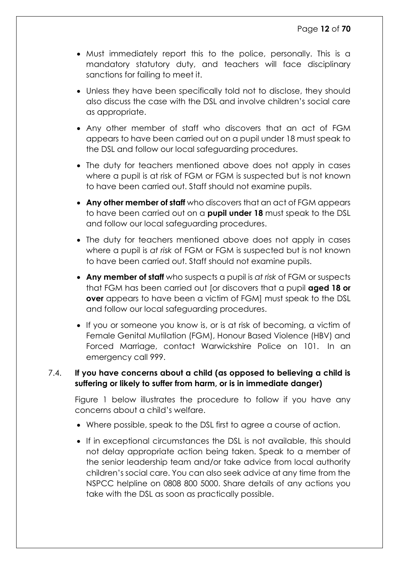- Must immediately report this to the police, personally. This is a mandatory statutory duty, and teachers will face disciplinary sanctions for failing to meet it.
- Unless they have been specifically told not to disclose, they should also discuss the case with the DSL and involve children's social care as appropriate.
- Any other member of staff who discovers that an act of FGM appears to have been carried out on a pupil under 18 must speak to the DSL and follow our local safeguarding procedures.
- The duty for teachers mentioned above does not apply in cases where a pupil is at risk of FGM or FGM is suspected but is not known to have been carried out. Staff should not examine pupils.
- **Any other member of staff** who discovers that an act of FGM appears to have been carried out on a **pupil under 18** must speak to the DSL and follow our local safeguarding procedures.
- The duty for teachers mentioned above does not apply in cases where a pupil is *at risk* of FGM or FGM is suspected but is not known to have been carried out. Staff should not examine pupils.
- **Any member of staff** who suspects a pupil is *at risk* of FGM or suspects that FGM has been carried out [or discovers that a pupil **aged 18 or over** appears to have been a victim of FGM] must speak to the DSL and follow our local safeguarding procedures.
- If you or someone you know is, or is at risk of becoming, a victim of Female Genital Mutilation (FGM), Honour Based Violence (HBV) and Forced Marriage, contact Warwickshire Police on 101. In an emergency call 999.

# 7.4. **If you have concerns about a child (as opposed to believing a child is suffering or likely to suffer from harm, or is in immediate danger)**

Figure 1 below illustrates the procedure to follow if you have any concerns about a child's welfare.

- Where possible, speak to the DSL first to agree a course of action.
- If in exceptional circumstances the DSL is not available, this should not delay appropriate action being taken. Speak to a member of the senior leadership team and/or take advice from local authority children's social care. You can also seek advice at any time from the NSPCC helpline on 0808 800 5000. Share details of any actions you take with the DSL as soon as practically possible.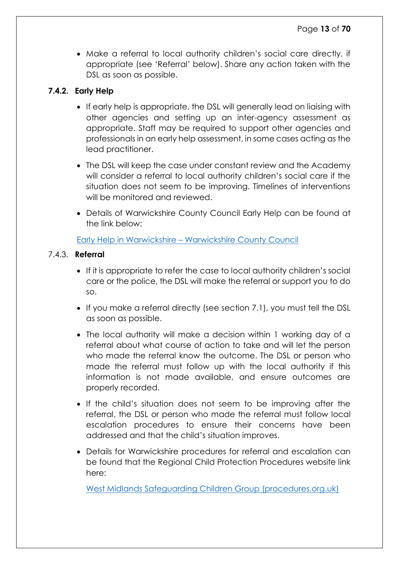Make a referral to local authority children's social care directly, if appropriate (see 'Referral' below). Share any action taken with the DSL as soon as possible.

# **7.4.2. Early Help**

- If early help is appropriate, the DSL will generally lead on liaising with other agencies and setting up an inter-agency assessment as appropriate. Staff may be required to support other agencies and professionals in an early help assessment, in some cases acting as the lead practitioner.
- The DSL will keep the case under constant review and the Academy will consider a referral to local authority children's social care if the situation does not seem to be improving. Timelines of interventions will be monitored and reviewed.
- Details of Warwickshire County Council Early Help can be found at the link below:

# Early Help in Warwickshire – [Warwickshire County Council](https://www.warwickshire.gov.uk/children-families/early-help-warwickshire/1#:~:text=Early%20Help%20in%20Warwickshire%20%E2%80%93%20Warwickshire%20County%20Council.,call%20the%20Hotline%20on%200800%20408%201447.%20Home.)

# 7.4.3. **Referral**

- If it is appropriate to refer the case to local authority children's social care or the police, the DSL will make the referral or support you to do so.
- If you make a referral directly (see section 7.1), you must tell the DSL as soon as possible.
- The local authority will make a decision within 1 working day of a referral about what course of action to take and will let the person who made the referral know the outcome. The DSL or person who made the referral must follow up with the local authority if this information is not made available, and ensure outcomes are properly recorded.
- If the child's situation does not seem to be improving after the referral, the DSL or person who made the referral must follow local escalation procedures to ensure their concerns have been addressed and that the child's situation improves.
- Details for Warwickshire procedures for referral and escalation can be found that the Regional Child Protection Procedures website link here:

[West Midlands Safeguarding Children Group \(procedures.org.uk\)](https://westmidlands.procedures.org.uk/page/contents)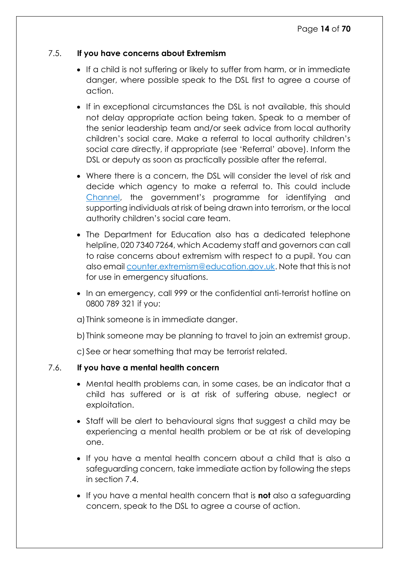# 7.5. **If you have concerns about Extremism**

- If a child is not suffering or likely to suffer from harm, or in immediate danger, where possible speak to the DSL first to agree a course of action.
- If in exceptional circumstances the DSL is not available, this should not delay appropriate action being taken. Speak to a member of the senior leadership team and/or seek advice from local authority children's social care. Make a referral to local authority children's social care directly, if appropriate (see 'Referral' above). Inform the DSL or deputy as soon as practically possible after the referral.
- Where there is a concern, the DSL will consider the level of risk and decide which agency to make a referral to. This could include [Channel](https://www.gov.uk/government/publications/channel-guidance), the government's programme for identifying and supporting individuals at risk of being drawn into terrorism, or the local authority children's social care team.
- The Department for Education also has a dedicated telephone helpline, 020 7340 7264, which Academy staff and governors can call to raise concerns about extremism with respect to a pupil. You can also email [counter.extremism@education.gov.uk.](mailto:counter.extremism@education.gov.uk) Note that this is not for use in emergency situations.
- In an emergency, call 999 or the confidential anti-terrorist hotline on 0800 789 321 if you:

a) Think someone is in immediate danger.

b) Think someone may be planning to travel to join an extremist group.

c) See or hear something that may be terrorist related.

# 7.6. **If you have a mental health concern**

- Mental health problems can, in some cases, be an indicator that a child has suffered or is at risk of suffering abuse, neglect or exploitation.
- Staff will be alert to behavioural signs that suggest a child may be experiencing a mental health problem or be at risk of developing one.
- If you have a mental health concern about a child that is also a safeguarding concern, take immediate action by following the steps in section 7.4.
- If you have a mental health concern that is **not** also a safeguarding concern, speak to the DSL to agree a course of action.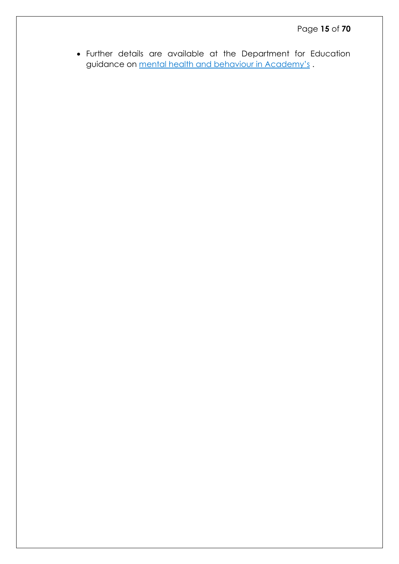Further details are available at the Department for Education guidance on [mental health and behaviour in](https://www.gov.uk/government/publications/mental-health-and-behaviour-in-schools--2) Academy's .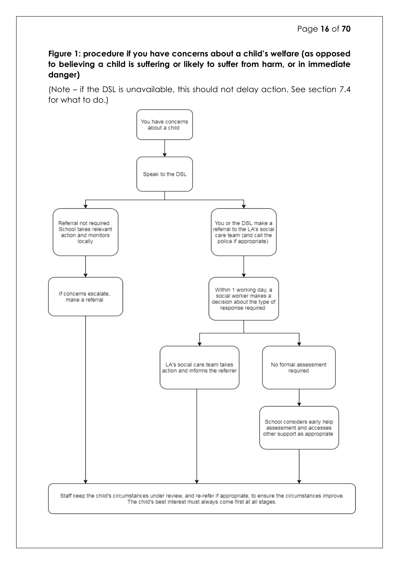**Figure 1: procedure if you have concerns about a child's welfare (as opposed to believing a child is suffering or likely to suffer from harm, or in immediate danger)**

(Note – if the DSL is unavailable, this should not delay action. See section 7.4 for what to do.)

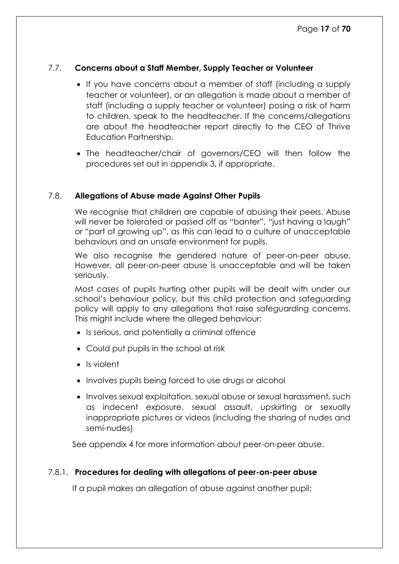# 7.7. **Concerns about a Staff Member, Supply Teacher or Volunteer**

- If you have concerns about a member of staff (including a supply teacher or volunteer), or an allegation is made about a member of staff (including a supply teacher or volunteer) posing a risk of harm to children, speak to the headteacher. If the concerns/allegations are about the headteacher report directly to the CEO of Thrive Education Partnership.
- The headteacher/chair of governors/CEO will then follow the procedures set out in appendix 3, if appropriate.

# 7.8. **Allegations of Abuse made Against Other Pupils**

We recognise that children are capable of abusing their peers. Abuse will never be tolerated or passed off as "banter", "just having a laugh" or "part of growing up", as this can lead to a culture of unacceptable behaviours and an unsafe environment for pupils.

We also recognise the gendered nature of peer-on-peer abuse. However, all peer-on-peer abuse is unacceptable and will be taken seriously.

Most cases of pupils hurting other pupils will be dealt with under our school's behaviour policy, but this child protection and safeguarding policy will apply to any allegations that raise safeguarding concerns. This might include where the alleged behaviour:

- Is serious, and potentially a criminal offence
- Could put pupils in the school at risk
- $\bullet$  Is violent
- Involves pupils being forced to use drugs or alcohol
- Involves sexual exploitation, sexual abuse or sexual harassment, such as indecent exposure, sexual assault, upskirting or sexually inappropriate pictures or videos (including the sharing of nudes and semi-nudes)

See appendix 4 for more information about peer-on-peer abuse.

# 7.8.1. **Procedures for dealing with allegations of peer-on-peer abuse**

If a pupil makes an allegation of abuse against another pupil: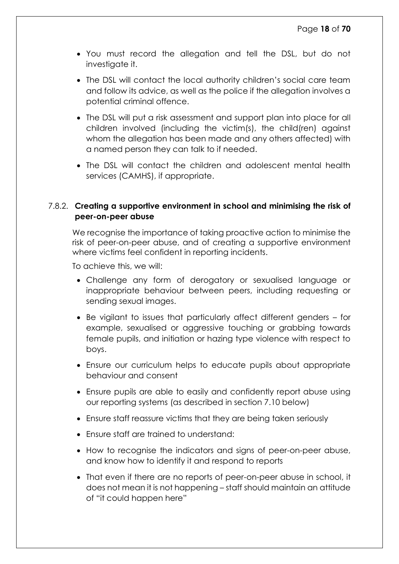- You must record the allegation and tell the DSL, but do not investigate it.
- The DSL will contact the local authority children's social care team and follow its advice, as well as the police if the allegation involves a potential criminal offence.
- The DSL will put a risk assessment and support plan into place for all children involved (including the victim(s), the child(ren) against whom the allegation has been made and any others affected) with a named person they can talk to if needed.
- The DSL will contact the children and adolescent mental health services (CAMHS), if appropriate.

# 7.8.2. **Creating a supportive environment in school and minimising the risk of peer-on-peer abuse**

We recognise the importance of taking proactive action to minimise the risk of peer-on-peer abuse, and of creating a supportive environment where victims feel confident in reporting incidents.

To achieve this, we will:

- Challenge any form of derogatory or sexualised language or inappropriate behaviour between peers, including requesting or sending sexual images.
- Be vigilant to issues that particularly affect different genders for example, sexualised or aggressive touching or grabbing towards female pupils, and initiation or hazing type violence with respect to boys.
- Ensure our curriculum helps to educate pupils about appropriate behaviour and consent
- Ensure pupils are able to easily and confidently report abuse using our reporting systems (as described in section 7.10 below)
- Ensure staff reassure victims that they are being taken seriously
- Fnsure staff are trained to understand:
- How to recognise the indicators and signs of peer-on-peer abuse, and know how to identify it and respond to reports
- That even if there are no reports of peer-on-peer abuse in school, it does not mean it is not happening – staff should maintain an attitude of "it could happen here"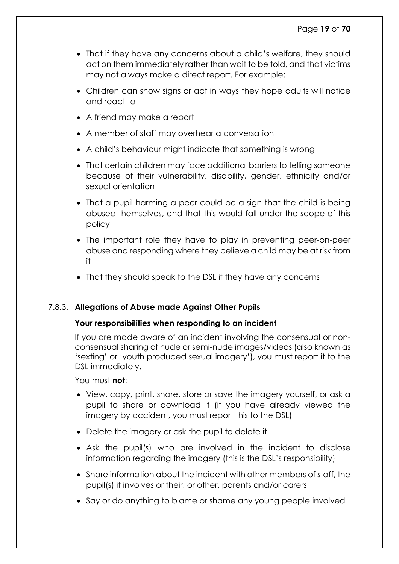- That if they have any concerns about a child's welfare, they should act on them immediately rather than wait to be told, and that victims may not always make a direct report. For example:
- Children can show signs or act in ways they hope adults will notice and react to
- A friend may make a report
- A member of staff may overhear a conversation
- A child's behaviour might indicate that something is wrong
- That certain children may face additional barriers to telling someone because of their vulnerability, disability, gender, ethnicity and/or sexual orientation
- That a pupil harming a peer could be a sign that the child is being abused themselves, and that this would fall under the scope of this policy
- The important role they have to play in preventing peer-on-peer abuse and responding where they believe a child may be at risk from it
- That they should speak to the DSL if they have any concerns

# 7.8.3. **Allegations of Abuse made Against Other Pupils**

# **Your responsibilities when responding to an incident**

If you are made aware of an incident involving the consensual or nonconsensual sharing of nude or semi-nude images/videos (also known as 'sexting' or 'youth produced sexual imagery'), you must report it to the DSL immediately.

You must **not**:

- View, copy, print, share, store or save the imagery yourself, or ask a pupil to share or download it (if you have already viewed the imagery by accident, you must report this to the DSL)
- Delete the imagery or ask the pupil to delete it
- Ask the pupil(s) who are involved in the incident to disclose information regarding the imagery (this is the DSL's responsibility)
- Share information about the incident with other members of staff, the pupil(s) it involves or their, or other, parents and/or carers
- Say or do anything to blame or shame any young people involved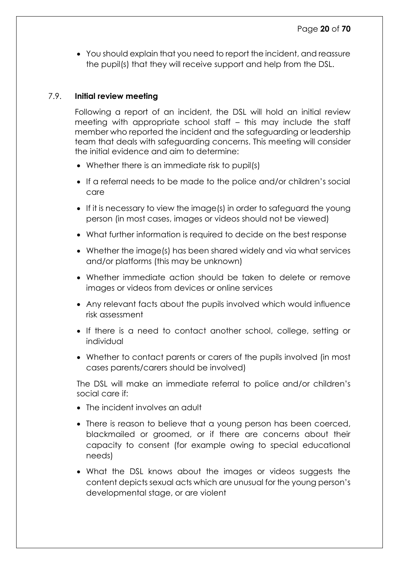You should explain that you need to report the incident, and reassure the pupil(s) that they will receive support and help from the DSL.

# 7.9. **Initial review meeting**

Following a report of an incident, the DSL will hold an initial review meeting with appropriate school staff – this may include the staff member who reported the incident and the safeguarding or leadership team that deals with safeguarding concerns. This meeting will consider the initial evidence and aim to determine:

- Whether there is an immediate risk to pupil(s)
- If a referral needs to be made to the police and/or children's social care
- If it is necessary to view the image(s) in order to safeguard the young person (in most cases, images or videos should not be viewed)
- What further information is required to decide on the best response
- Whether the image(s) has been shared widely and via what services and/or platforms (this may be unknown)
- Whether immediate action should be taken to delete or remove images or videos from devices or online services
- Any relevant facts about the pupils involved which would influence risk assessment
- If there is a need to contact another school, college, setting or individual
- Whether to contact parents or carers of the pupils involved (in most cases parents/carers should be involved)

The DSL will make an immediate referral to police and/or children's social care if:

- The incident involves an adult
- There is reason to believe that a young person has been coerced, blackmailed or groomed, or if there are concerns about their capacity to consent (for example owing to special educational needs)
- What the DSL knows about the images or videos suggests the content depicts sexual acts which are unusual for the young person's developmental stage, or are violent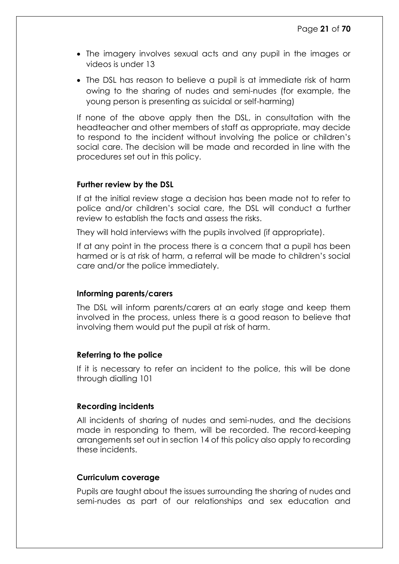- The imagery involves sexual acts and any pupil in the images or videos is under 13
- The DSL has reason to believe a pupil is at immediate risk of harm owing to the sharing of nudes and semi-nudes (for example, the young person is presenting as suicidal or self-harming)

If none of the above apply then the DSL, in consultation with the headteacher and other members of staff as appropriate, may decide to respond to the incident without involving the police or children's social care. The decision will be made and recorded in line with the procedures set out in this policy.

# **Further review by the DSL**

If at the initial review stage a decision has been made not to refer to police and/or children's social care, the DSL will conduct a further review to establish the facts and assess the risks.

They will hold interviews with the pupils involved (if appropriate).

If at any point in the process there is a concern that a pupil has been harmed or is at risk of harm, a referral will be made to children's social care and/or the police immediately.

# **Informing parents/carers**

The DSL will inform parents/carers at an early stage and keep them involved in the process, unless there is a good reason to believe that involving them would put the pupil at risk of harm.

# **Referring to the police**

If it is necessary to refer an incident to the police, this will be done through dialling 101

# **Recording incidents**

All incidents of sharing of nudes and semi-nudes, and the decisions made in responding to them, will be recorded. The record-keeping arrangements set out in section 14 of this policy also apply to recording these incidents.

# **Curriculum coverage**

Pupils are taught about the issues surrounding the sharing of nudes and semi-nudes as part of our relationships and sex education and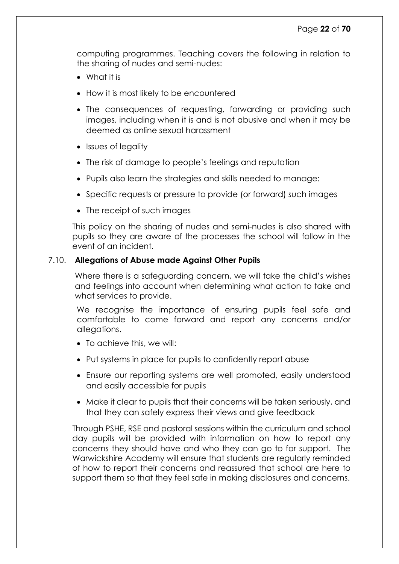computing programmes. Teaching covers the following in relation to the sharing of nudes and semi-nudes:

- What it is
- How it is most likely to be encountered
- The consequences of requesting, forwarding or providing such images, including when it is and is not abusive and when it may be deemed as online sexual harassment
- Issues of legality
- The risk of damage to people's feelings and reputation
- Pupils also learn the strategies and skills needed to manage:
- Specific requests or pressure to provide (or forward) such images
- The receipt of such images

This policy on the sharing of nudes and semi-nudes is also shared with pupils so they are aware of the processes the school will follow in the event of an incident.

# 7.10. **Allegations of Abuse made Against Other Pupils**

Where there is a safeguarding concern, we will take the child's wishes and feelings into account when determining what action to take and what services to provide.

We recognise the importance of ensuring pupils feel safe and comfortable to come forward and report any concerns and/or allegations.

- To achieve this, we will:
- Put systems in place for pupils to confidently report abuse
- Ensure our reporting systems are well promoted, easily understood and easily accessible for pupils
- Make it clear to pupils that their concerns will be taken seriously, and that they can safely express their views and give feedback

Through PSHE, RSE and pastoral sessions within the curriculum and school day pupils will be provided with information on how to report any concerns they should have and who they can go to for support. The Warwickshire Academy will ensure that students are regularly reminded of how to report their concerns and reassured that school are here to support them so that they feel safe in making disclosures and concerns.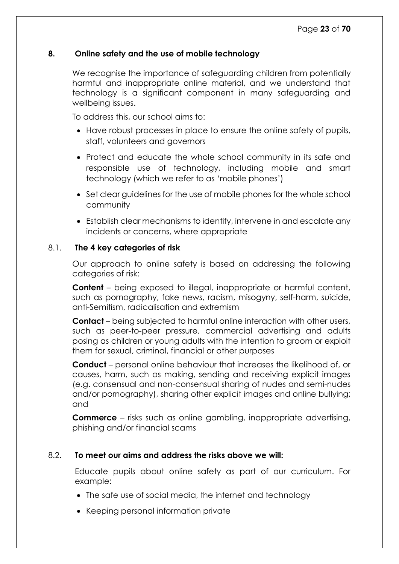# <span id="page-22-0"></span>**8. Online safety and the use of mobile technology**

We recognise the importance of safeguarding children from potentially harmful and inappropriate online material, and we understand that technology is a significant component in many safeguarding and wellbeing issues.

To address this, our school aims to:

- Have robust processes in place to ensure the online safety of pupils, staff, volunteers and governors
- Protect and educate the whole school community in its safe and responsible use of technology, including mobile and smart technology (which we refer to as 'mobile phones')
- Set clear guidelines for the use of mobile phones for the whole school community
- Establish clear mechanisms to identify, intervene in and escalate any incidents or concerns, where appropriate

#### 8.1. **The 4 key categories of risk**

Our approach to online safety is based on addressing the following categories of risk:

**Content** – being exposed to illegal, inappropriate or harmful content, such as pornography, fake news, racism, misogyny, self-harm, suicide, anti-Semitism, radicalisation and extremism

**Contact** – being subjected to harmful online interaction with other users, such as peer-to-peer pressure, commercial advertising and adults posing as children or young adults with the intention to groom or exploit them for sexual, criminal, financial or other purposes

**Conduct** – personal online behaviour that increases the likelihood of, or causes, harm, such as making, sending and receiving explicit images (e.g. consensual and non-consensual sharing of nudes and semi-nudes and/or pornography), sharing other explicit images and online bullying; and

**Commerce** – risks such as online gambling, inappropriate advertising, phishing and/or financial scams

# 8.2. **To meet our aims and address the risks above we will:**

Educate pupils about online safety as part of our curriculum. For example:

- The safe use of social media, the internet and technology
- Keeping personal information private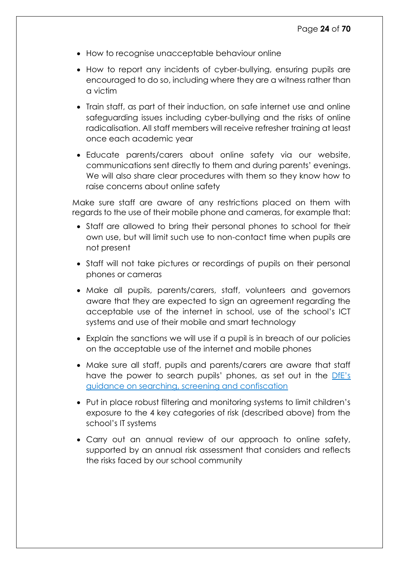- How to recognise unacceptable behaviour online
- How to report any incidents of cyber-bullying, ensuring pupils are encouraged to do so, including where they are a witness rather than a victim
- Train staff, as part of their induction, on safe internet use and online safeguarding issues including cyber-bullying and the risks of online radicalisation. All staff members will receive refresher training at least once each academic year
- Educate parents/carers about online safety via our website, communications sent directly to them and during parents' evenings. We will also share clear procedures with them so they know how to raise concerns about online safety

Make sure staff are aware of any restrictions placed on them with regards to the use of their mobile phone and cameras, for example that:

- Staff are allowed to bring their personal phones to school for their own use, but will limit such use to non-contact time when pupils are not present
- Staff will not take pictures or recordings of pupils on their personal phones or cameras
- Make all pupils, parents/carers, staff, volunteers and governors aware that they are expected to sign an agreement regarding the acceptable use of the internet in school, use of the school's ICT systems and use of their mobile and smart technology
- Explain the sanctions we will use if a pupil is in breach of our policies on the acceptable use of the internet and mobile phones
- Make sure all staff, pupils and parents/carers are aware that staff have the power to search pupils' phones, as set out in the [DfE's](https://www.gov.uk/government/publications/searching-screening-and-confiscation)  [guidance on searching, screening and confiscation](https://www.gov.uk/government/publications/searching-screening-and-confiscation)
- Put in place robust filtering and monitoring systems to limit children's exposure to the 4 key categories of risk (described above) from the school's IT systems
- Carry out an annual review of our approach to online safety, supported by an annual risk assessment that considers and reflects the risks faced by our school community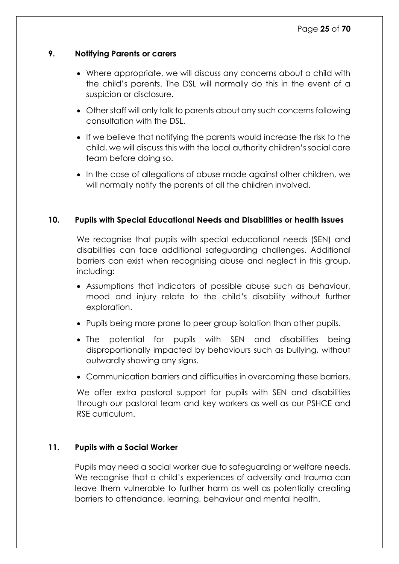# <span id="page-24-0"></span>**9. Notifying Parents or carers**

- Where appropriate, we will discuss any concerns about a child with the child's parents. The DSL will normally do this in the event of a suspicion or disclosure.
- Other staff will only talk to parents about any such concerns following consultation with the DSL.
- If we believe that notifying the parents would increase the risk to the child, we will discuss this with the local authority children's social care team before doing so.
- In the case of allegations of abuse made against other children, we will normally notify the parents of all the children involved.

# <span id="page-24-1"></span>**10. Pupils with Special Educational Needs and Disabilities or health issues**

We recognise that pupils with special educational needs (SEN) and disabilities can face additional safeguarding challenges. Additional barriers can exist when recognising abuse and neglect in this group, including:

- Assumptions that indicators of possible abuse such as behaviour, mood and injury relate to the child's disability without further exploration.
- Pupils being more prone to peer group isolation than other pupils.
- The potential for pupils with SEN and disabilities being disproportionally impacted by behaviours such as bullying, without outwardly showing any signs.
- Communication barriers and difficulties in overcoming these barriers.

We offer extra pastoral support for pupils with SEN and disabilities through our pastoral team and key workers as well as our PSHCE and RSE curriculum.

# <span id="page-24-2"></span>**11. Pupils with a Social Worker**

Pupils may need a social worker due to safeguarding or welfare needs. We recognise that a child's experiences of adversity and trauma can leave them vulnerable to further harm as well as potentially creating barriers to attendance, learning, behaviour and mental health.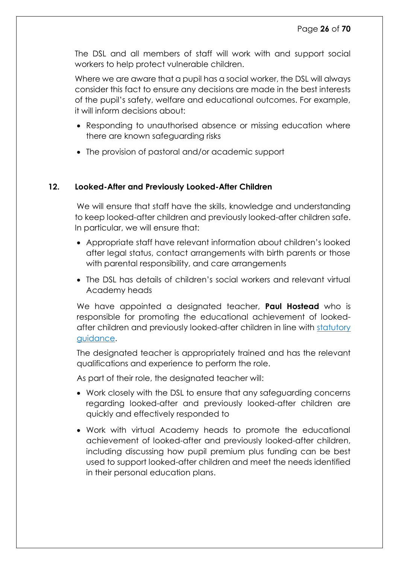The DSL and all members of staff will work with and support social workers to help protect vulnerable children.

Where we are aware that a pupil has a social worker, the DSL will always consider this fact to ensure any decisions are made in the best interests of the pupil's safety, welfare and educational outcomes. For example, it will inform decisions about:

- Responding to unauthorised absence or missing education where there are known safeguarding risks
- The provision of pastoral and/or academic support

# <span id="page-25-0"></span>**12. Looked-After and Previously Looked-After Children**

We will ensure that staff have the skills, knowledge and understanding to keep looked-after children and previously looked-after children safe. In particular, we will ensure that:

- Appropriate staff have relevant information about children's looked after legal status, contact arrangements with birth parents or those with parental responsibility, and care arrangements
- The DSL has details of children's social workers and relevant virtual Academy heads

We have appointed a designated teacher, **Paul Hostead** who is responsible for promoting the educational achievement of lookedafter children and previously looked-after children in line with [statutory](https://www.gov.uk/government/publications/designated-teacher-for-looked-after-children)  [guidance.](https://www.gov.uk/government/publications/designated-teacher-for-looked-after-children)

The designated teacher is appropriately trained and has the relevant qualifications and experience to perform the role.

As part of their role, the designated teacher will:

- Work closely with the DSL to ensure that any safeguarding concerns regarding looked-after and previously looked-after children are quickly and effectively responded to
- Work with virtual Academy heads to promote the educational achievement of looked-after and previously looked-after children, including discussing how pupil premium plus funding can be best used to support looked-after children and meet the needs identified in their personal education plans.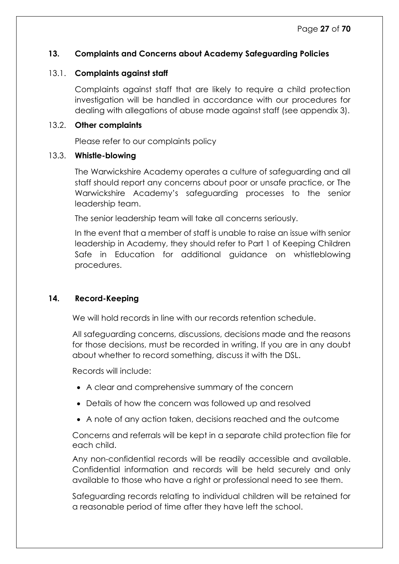# <span id="page-26-0"></span>**13. Complaints and Concerns about Academy Safeguarding Policies**

# 13.1. **Complaints against staff**

Complaints against staff that are likely to require a child protection investigation will be handled in accordance with our procedures for dealing with allegations of abuse made against staff (see appendix 3).

#### 13.2. **Other complaints**

Please refer to our complaints policy

# 13.3. **Whistle-blowing**

The Warwickshire Academy operates a culture of safeguarding and all staff should report any concerns about poor or unsafe practice, or The Warwickshire Academy's safeguarding processes to the senior leadership team.

The senior leadership team will take all concerns seriously.

In the event that a member of staff is unable to raise an issue with senior leadership in Academy, they should refer to Part 1 of Keeping Children Safe in Education for additional guidance on whistleblowing procedures.

# <span id="page-26-1"></span>**14. Record-Keeping**

We will hold records in line with our records retention schedule.

All safeguarding concerns, discussions, decisions made and the reasons for those decisions, must be recorded in writing. If you are in any doubt about whether to record something, discuss it with the DSL.

Records will include:

- A clear and comprehensive summary of the concern
- Details of how the concern was followed up and resolved
- A note of any action taken, decisions reached and the outcome

Concerns and referrals will be kept in a separate child protection file for each child.

Any non-confidential records will be readily accessible and available. Confidential information and records will be held securely and only available to those who have a right or professional need to see them.

Safeguarding records relating to individual children will be retained for a reasonable period of time after they have left the school.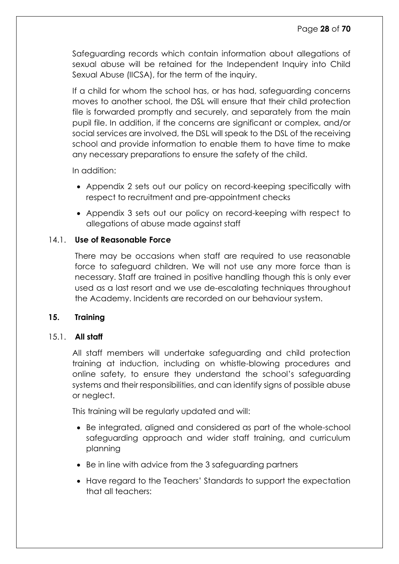Safeguarding records which contain information about allegations of sexual abuse will be retained for the Independent Inquiry into Child Sexual Abuse (IICSA), for the term of the inquiry.

If a child for whom the school has, or has had, safeguarding concerns moves to another school, the DSL will ensure that their child protection file is forwarded promptly and securely, and separately from the main pupil file. In addition, if the concerns are significant or complex, and/or social services are involved, the DSL will speak to the DSL of the receiving school and provide information to enable them to have time to make any necessary preparations to ensure the safety of the child.

In addition:

- Appendix 2 sets out our policy on record-keeping specifically with respect to recruitment and pre-appointment checks
- Appendix 3 sets out our policy on record-keeping with respect to allegations of abuse made against staff

# 14.1. **Use of Reasonable Force**

There may be occasions when staff are required to use reasonable force to safeguard children. We will not use any more force than is necessary. Staff are trained in positive handling though this is only ever used as a last resort and we use de-escalating techniques throughout the Academy. Incidents are recorded on our behaviour system.

# <span id="page-27-0"></span>**15. Training**

# 15.1. **All staff**

All staff members will undertake safeguarding and child protection training at induction, including on whistle-blowing procedures and online safety, to ensure they understand the school's safeguarding systems and their responsibilities, and can identify signs of possible abuse or neglect.

This training will be regularly updated and will:

- Be integrated, aligned and considered as part of the whole-school safeguarding approach and wider staff training, and curriculum planning
- Be in line with advice from the 3 safeguarding partners
- Have regard to the Teachers' Standards to support the expectation that all teachers: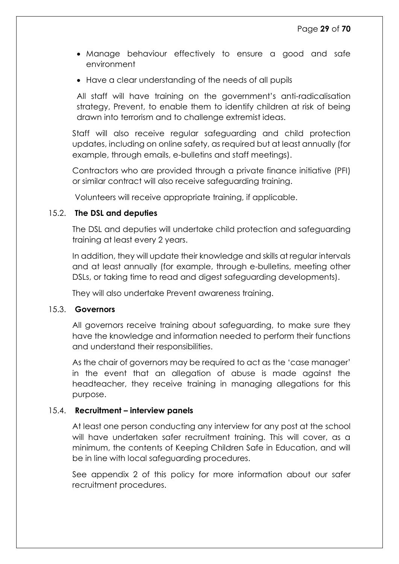- Manage behaviour effectively to ensure a good and safe environment
- Have a clear understanding of the needs of all pupils

All staff will have training on the government's anti-radicalisation strategy, Prevent, to enable them to identify children at risk of being drawn into terrorism and to challenge extremist ideas.

Staff will also receive regular safeguarding and child protection updates, including on online safety, as required but at least annually (for example, through emails, e-bulletins and staff meetings).

Contractors who are provided through a private finance initiative (PFI) or similar contract will also receive safeguarding training.

Volunteers will receive appropriate training, if applicable.

# 15.2. **The DSL and deputies**

The DSL and deputies will undertake child protection and safeguarding training at least every 2 years.

In addition, they will update their knowledge and skills at regular intervals and at least annually (for example, through e-bulletins, meeting other DSLs, or taking time to read and digest safeguarding developments).

They will also undertake Prevent awareness training.

# 15.3. **Governors**

All governors receive training about safeguarding, to make sure they have the knowledge and information needed to perform their functions and understand their responsibilities.

As the chair of governors may be required to act as the 'case manager' in the event that an allegation of abuse is made against the headteacher, they receive training in managing allegations for this purpose.

# 15.4. **Recruitment – interview panels**

At least one person conducting any interview for any post at the school will have undertaken safer recruitment training. This will cover, as a minimum, the contents of Keeping Children Safe in Education, and will be in line with local safeguarding procedures.

See appendix 2 of this policy for more information about our safer recruitment procedures.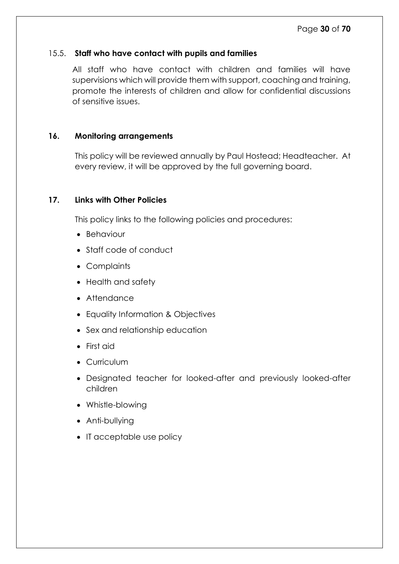# 15.5. **Staff who have contact with pupils and families**

All staff who have contact with children and families will have supervisions which will provide them with support, coaching and training, promote the interests of children and allow for confidential discussions of sensitive issues.

# <span id="page-29-0"></span>**16. Monitoring arrangements**

This policy will be reviewed annually by Paul Hostead; Headteacher. At every review, it will be approved by the full governing board.

# <span id="page-29-1"></span>**17. Links with Other Policies**

This policy links to the following policies and procedures:

- Behaviour
- Staff code of conduct
- Complaints
- Health and safety
- Attendance
- Equality Information & Objectives
- Sex and relationship education
- First aid
- Curriculum
- Designated teacher for looked-after and previously looked-after children
- Whistle-blowing
- Anti-bullying
- IT acceptable use policy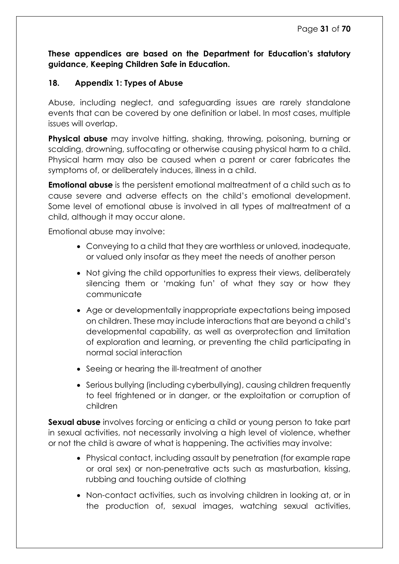# **These appendices are based on the Department for Education's statutory guidance, Keeping Children Safe in Education.**

# <span id="page-30-0"></span>**18. Appendix 1: Types of Abuse**

Abuse, including neglect, and safeguarding issues are rarely standalone events that can be covered by one definition or label. In most cases, multiple issues will overlap.

**Physical abuse** may involve hitting, shaking, throwing, poisoning, burning or scalding, drowning, suffocating or otherwise causing physical harm to a child. Physical harm may also be caused when a parent or carer fabricates the symptoms of, or deliberately induces, illness in a child.

**Emotional abuse** is the persistent emotional maltreatment of a child such as to cause severe and adverse effects on the child's emotional development. Some level of emotional abuse is involved in all types of maltreatment of a child, although it may occur alone.

Emotional abuse may involve:

- Conveying to a child that they are worthless or unloved, inadequate, or valued only insofar as they meet the needs of another person
- Not giving the child opportunities to express their views, deliberately silencing them or 'making fun' of what they say or how they communicate
- Age or developmentally inappropriate expectations being imposed on children. These may include interactions that are beyond a child's developmental capability, as well as overprotection and limitation of exploration and learning, or preventing the child participating in normal social interaction
- Seeing or hearing the ill-treatment of another
- Serious bullying (including cyberbullying), causing children frequently to feel frightened or in danger, or the exploitation or corruption of children

**Sexual abuse** involves forcing or enticing a child or young person to take part in sexual activities, not necessarily involving a high level of violence, whether or not the child is aware of what is happening. The activities may involve:

- Physical contact, including assault by penetration (for example rape or oral sex) or non-penetrative acts such as masturbation, kissing, rubbing and touching outside of clothing
- Non-contact activities, such as involving children in looking at, or in the production of, sexual images, watching sexual activities,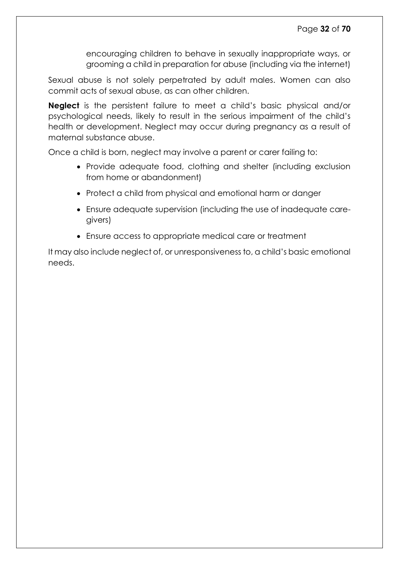encouraging children to behave in sexually inappropriate ways, or grooming a child in preparation for abuse (including via the internet)

Sexual abuse is not solely perpetrated by adult males. Women can also commit acts of sexual abuse, as can other children.

**Neglect** is the persistent failure to meet a child's basic physical and/or psychological needs, likely to result in the serious impairment of the child's health or development. Neglect may occur during pregnancy as a result of maternal substance abuse.

Once a child is born, neglect may involve a parent or carer failing to:

- Provide adequate food, clothing and shelter (including exclusion from home or abandonment)
- Protect a child from physical and emotional harm or danger
- Ensure adequate supervision (including the use of inadequate caregivers)
- Ensure access to appropriate medical care or treatment

It may also include neglect of, or unresponsiveness to, a child's basic emotional needs.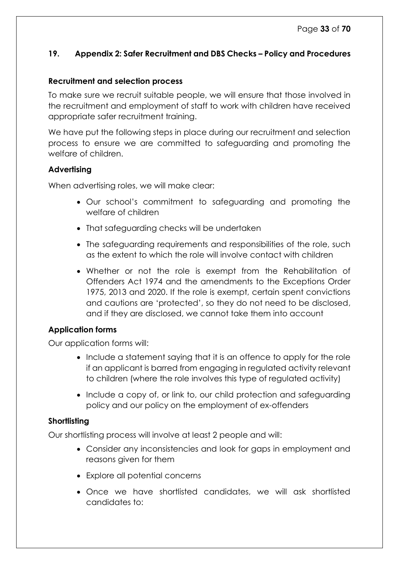# <span id="page-32-0"></span>**19. Appendix 2: Safer Recruitment and DBS Checks – Policy and Procedures**

#### **Recruitment and selection process**

To make sure we recruit suitable people, we will ensure that those involved in the recruitment and employment of staff to work with children have received appropriate safer recruitment training.

We have put the following steps in place during our recruitment and selection process to ensure we are committed to safeguarding and promoting the welfare of children.

#### **Advertising**

When advertising roles, we will make clear:

- Our school's commitment to safeguarding and promoting the welfare of children
- That safeguarding checks will be undertaken
- The safeguarding requirements and responsibilities of the role, such as the extent to which the role will involve contact with children
- Whether or not the role is exempt from the Rehabilitation of Offenders Act 1974 and the amendments to the Exceptions Order 1975, 2013 and 2020. If the role is exempt, certain spent convictions and cautions are 'protected', so they do not need to be disclosed, and if they are disclosed, we cannot take them into account

# **Application forms**

Our application forms will:

- Include a statement saying that it is an offence to apply for the role if an applicant is barred from engaging in regulated activity relevant to children (where the role involves this type of regulated activity)
- Include a copy of, or link to, our child protection and safeguarding policy and our policy on the employment of ex-offenders

#### **Shortlisting**

Our shortlisting process will involve at least 2 people and will:

- Consider any inconsistencies and look for gaps in employment and reasons given for them
- Explore all potential concerns
- Once we have shortlisted candidates, we will ask shortlisted candidates to: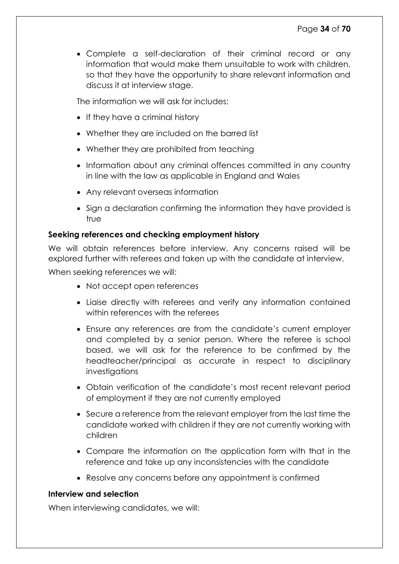Complete a self-declaration of their criminal record or any information that would make them unsuitable to work with children, so that they have the opportunity to share relevant information and discuss it at interview stage.

The information we will ask for includes:

- If they have a criminal history
- Whether they are included on the barred list
- Whether they are prohibited from teaching
- Information about any criminal offences committed in any country in line with the law as applicable in England and Wales
- Any relevant overseas information
- Sign a declaration confirming the information they have provided is true

# **Seeking references and checking employment history**

We will obtain references before interview. Any concerns raised will be explored further with referees and taken up with the candidate at interview.

When seeking references we will:

- Not accept open references
- Liaise directly with referees and verify any information contained within references with the referees
- Ensure any references are from the candidate's current employer and completed by a senior person. Where the referee is school based, we will ask for the reference to be confirmed by the headteacher/principal as accurate in respect to disciplinary investigations
- Obtain verification of the candidate's most recent relevant period of employment if they are not currently employed
- Secure a reference from the relevant employer from the last time the candidate worked with children if they are not currently working with children
- Compare the information on the application form with that in the reference and take up any inconsistencies with the candidate
- Resolve any concerns before any appointment is confirmed

# **Interview and selection**

When interviewing candidates, we will: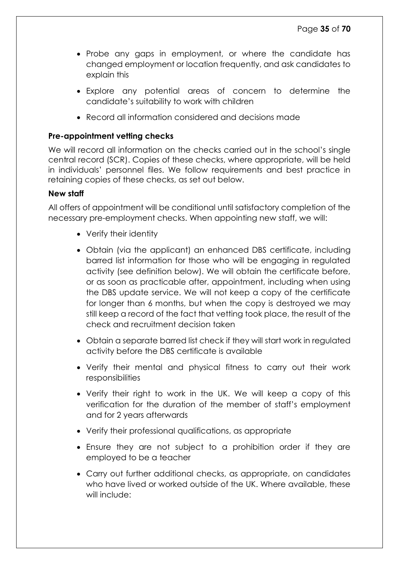- Probe any gaps in employment, or where the candidate has changed employment or location frequently, and ask candidates to explain this
- Explore any potential areas of concern to determine the candidate's suitability to work with children
- Record all information considered and decisions made

# **Pre-appointment vetting checks**

We will record all information on the checks carried out in the school's single central record (SCR). Copies of these checks, where appropriate, will be held in individuals' personnel files. We follow requirements and best practice in retaining copies of these checks, as set out below.

# **New staff**

All offers of appointment will be conditional until satisfactory completion of the necessary pre-employment checks. When appointing new staff, we will:

- Verify their identity
- Obtain (via the applicant) an enhanced DBS certificate, including barred list information for those who will be engaging in regulated activity (see definition below). We will obtain the certificate before, or as soon as practicable after, appointment, including when using the DBS update service. We will not keep a copy of the certificate for longer than 6 months, but when the copy is destroyed we may still keep a record of the fact that vetting took place, the result of the check and recruitment decision taken
- Obtain a separate barred list check if they will start work in regulated activity before the DBS certificate is available
- Verify their mental and physical fitness to carry out their work responsibilities
- Verify their right to work in the UK. We will keep a copy of this verification for the duration of the member of staff's employment and for 2 years afterwards
- Verify their professional qualifications, as appropriate
- Ensure they are not subject to a prohibition order if they are employed to be a teacher
- Carry out further additional checks, as appropriate, on candidates who have lived or worked outside of the UK. Where available, these will include: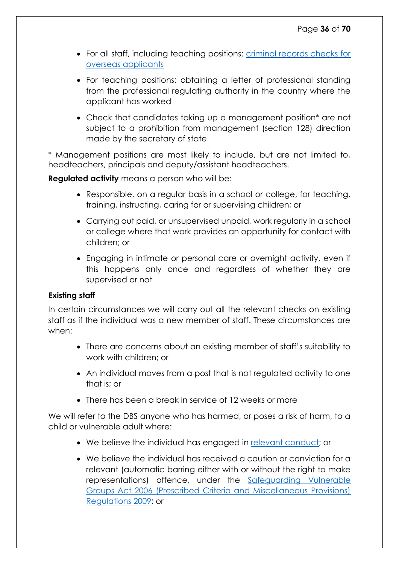- For all staff, including teaching positions: [criminal records checks for](https://www.gov.uk/government/publications/criminal-records-checks-for-overseas-applicants)  [overseas applicants](https://www.gov.uk/government/publications/criminal-records-checks-for-overseas-applicants)
- For teaching positions: obtaining a letter of professional standing from the professional regulating authority in the country where the applicant has worked
- Check that candidates taking up a management position\* are not subject to a prohibition from management (section 128) direction made by the secretary of state

\* Management positions are most likely to include, but are not limited to, headteachers, principals and deputy/assistant headteachers.

**Regulated activity** means a person who will be:

- Responsible, on a regular basis in a school or college, for teaching, training, instructing, caring for or supervising children; or
- Carrying out paid, or unsupervised unpaid, work regularly in a school or college where that work provides an opportunity for contact with children; or
- Engaging in intimate or personal care or overnight activity, even if this happens only once and regardless of whether they are supervised or not

# **Existing staff**

In certain circumstances we will carry out all the relevant checks on existing staff as if the individual was a new member of staff. These circumstances are when:

- There are concerns about an existing member of staff's suitability to work with children; or
- An individual moves from a post that is not regulated activity to one that is; or
- There has been a break in service of 12 weeks or more

We will refer to the DBS anyone who has harmed, or poses a risk of harm, to a child or vulnerable adult where:

- We believe the individual has engaged in [relevant conduct;](https://www.gov.uk/guidance/making-barring-referrals-to-the-dbs#relevant-conduct-in-relation-to-children) or
- We believe the individual has received a caution or conviction for a relevant (automatic barring either with or without the right to make representations) offence, under the [Safeguarding Vulnerable](http://www.legislation.gov.uk/uksi/2009/37/contents/made)  [Groups Act 2006 \(Prescribed Criteria and Miscellaneous Provisions\)](http://www.legislation.gov.uk/uksi/2009/37/contents/made)  [Regulations 2009;](http://www.legislation.gov.uk/uksi/2009/37/contents/made) or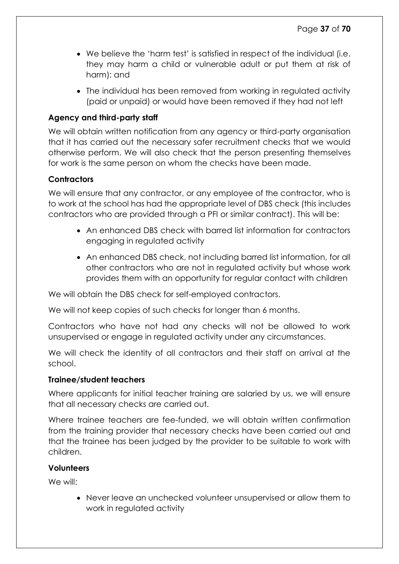- We believe the 'harm test' is satisfied in respect of the individual (i.e. they may harm a child or vulnerable adult or put them at risk of harm); and
- The individual has been removed from working in regulated activity (paid or unpaid) or would have been removed if they had not left

# **Agency and third-party staff**

We will obtain written notification from any agency or third-party organisation that it has carried out the necessary safer recruitment checks that we would otherwise perform. We will also check that the person presenting themselves for work is the same person on whom the checks have been made.

# **Contractors**

We will ensure that any contractor, or any employee of the contractor, who is to work at the school has had the appropriate level of DBS check (this includes contractors who are provided through a PFI or similar contract). This will be:

- An enhanced DBS check with barred list information for contractors engaging in regulated activity
- An enhanced DBS check, not including barred list information, for all other contractors who are not in regulated activity but whose work provides them with an opportunity for regular contact with children

We will obtain the DBS check for self-employed contractors.

We will not keep copies of such checks for longer than 6 months.

Contractors who have not had any checks will not be allowed to work unsupervised or engage in regulated activity under any circumstances.

We will check the identity of all contractors and their staff on arrival at the school.

# **Trainee/student teachers**

Where applicants for initial teacher training are salaried by us, we will ensure that all necessary checks are carried out.

Where trainee teachers are fee-funded, we will obtain written confirmation from the training provider that necessary checks have been carried out and that the trainee has been judged by the provider to be suitable to work with children.

# **Volunteers**

We will:

 Never leave an unchecked volunteer unsupervised or allow them to work in regulated activity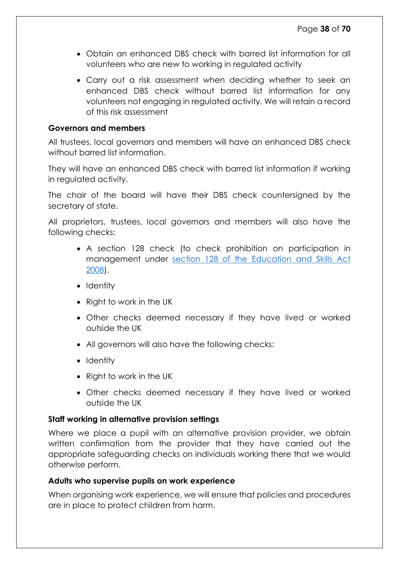- Obtain an enhanced DBS check with barred list information for all volunteers who are new to working in regulated activity
- Carry out a risk assessment when deciding whether to seek an enhanced DBS check without barred list information for any volunteers not engaging in regulated activity. We will retain a record of this risk assessment

# **Governors and members**

All trustees, local governors and members will have an enhanced DBS check without barred list information.

They will have an enhanced DBS check with barred list information if working in regulated activity.

The chair of the board will have their DBS check countersigned by the secretary of state.

All proprietors, trustees, local governors and members will also have the following checks:

- A section 128 check (to check prohibition on participation in management under [section 128 of the Education and Skills Act](https://www.legislation.gov.uk/ukpga/2008/25/section/128)  [2008\)](https://www.legislation.gov.uk/ukpga/2008/25/section/128).
- Identity
- Right to work in the UK
- Other checks deemed necessary if they have lived or worked outside the UK
- All governors will also have the following checks:
- Identity
- Right to work in the UK
- Other checks deemed necessary if they have lived or worked outside the UK

# **Staff working in alternative provision settings**

Where we place a pupil with an alternative provision provider, we obtain written confirmation from the provider that they have carried out the appropriate safeguarding checks on individuals working there that we would otherwise perform.

# **Adults who supervise pupils on work experience**

When organising work experience, we will ensure that policies and procedures are in place to protect children from harm.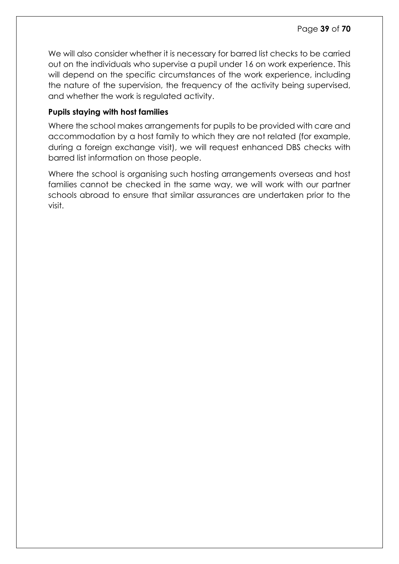We will also consider whether it is necessary for barred list checks to be carried out on the individuals who supervise a pupil under 16 on work experience. This will depend on the specific circumstances of the work experience, including the nature of the supervision, the frequency of the activity being supervised, and whether the work is regulated activity.

# **Pupils staying with host families**

Where the school makes arrangements for pupils to be provided with care and accommodation by a host family to which they are not related (for example, during a foreign exchange visit), we will request enhanced DBS checks with barred list information on those people.

Where the school is organising such hosting arrangements overseas and host families cannot be checked in the same way, we will work with our partner schools abroad to ensure that similar assurances are undertaken prior to the visit.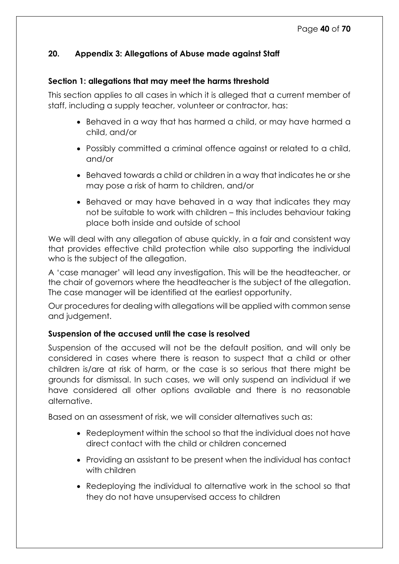# <span id="page-39-0"></span>**20. Appendix 3: Allegations of Abuse made against Staff**

#### **Section 1: allegations that may meet the harms threshold**

This section applies to all cases in which it is alleged that a current member of staff, including a supply teacher, volunteer or contractor, has:

- Behaved in a way that has harmed a child, or may have harmed a child, and/or
- Possibly committed a criminal offence against or related to a child, and/or
- Behaved towards a child or children in a way that indicates he or she may pose a risk of harm to children, and/or
- Behaved or may have behaved in a way that indicates they may not be suitable to work with children – this includes behaviour taking place both inside and outside of school

We will deal with any allegation of abuse quickly, in a fair and consistent way that provides effective child protection while also supporting the individual who is the subject of the allegation.

A 'case manager' will lead any investigation. This will be the headteacher, or the chair of governors where the headteacher is the subject of the allegation. The case manager will be identified at the earliest opportunity.

Our procedures for dealing with allegations will be applied with common sense and judgement.

# **Suspension of the accused until the case is resolved**

Suspension of the accused will not be the default position, and will only be considered in cases where there is reason to suspect that a child or other children is/are at risk of harm, or the case is so serious that there might be grounds for dismissal. In such cases, we will only suspend an individual if we have considered all other options available and there is no reasonable alternative.

Based on an assessment of risk, we will consider alternatives such as:

- Redeployment within the school so that the individual does not have direct contact with the child or children concerned
- Providing an assistant to be present when the individual has contact with children
- Redeploying the individual to alternative work in the school so that they do not have unsupervised access to children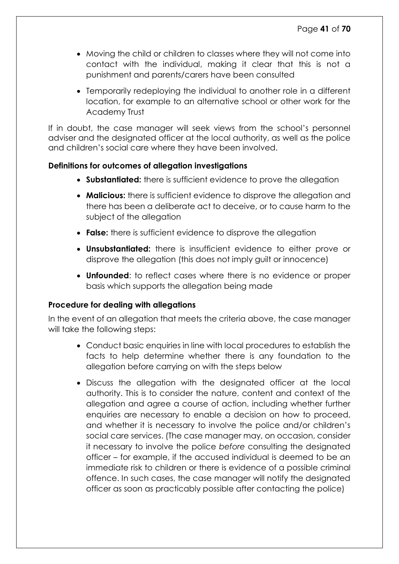- Moving the child or children to classes where they will not come into contact with the individual, making it clear that this is not a punishment and parents/carers have been consulted
- Temporarily redeploying the individual to another role in a different location, for example to an alternative school or other work for the Academy Trust

If in doubt, the case manager will seek views from the school's personnel adviser and the designated officer at the local authority, as well as the police and children's social care where they have been involved.

# **Definitions for outcomes of allegation investigations**

- **Substantiated:** there is sufficient evidence to prove the allegation
- **Malicious:** there is sufficient evidence to disprove the allegation and there has been a deliberate act to deceive, or to cause harm to the subject of the allegation
- **False:** there is sufficient evidence to disprove the allegation
- **Unsubstantiated:** there is insufficient evidence to either prove or disprove the allegation (this does not imply guilt or innocence)
- **Unfounded**: to reflect cases where there is no evidence or proper basis which supports the allegation being made

# **Procedure for dealing with allegations**

In the event of an allegation that meets the criteria above, the case manager will take the following steps:

- Conduct basic enquiries in line with local procedures to establish the facts to help determine whether there is any foundation to the allegation before carrying on with the steps below
- Discuss the allegation with the designated officer at the local authority. This is to consider the nature, content and context of the allegation and agree a course of action, including whether further enquiries are necessary to enable a decision on how to proceed, and whether it is necessary to involve the police and/or children's social care services. (The case manager may, on occasion, consider it necessary to involve the police *before* consulting the designated officer – for example, if the accused individual is deemed to be an immediate risk to children or there is evidence of a possible criminal offence. In such cases, the case manager will notify the designated officer as soon as practicably possible after contacting the police)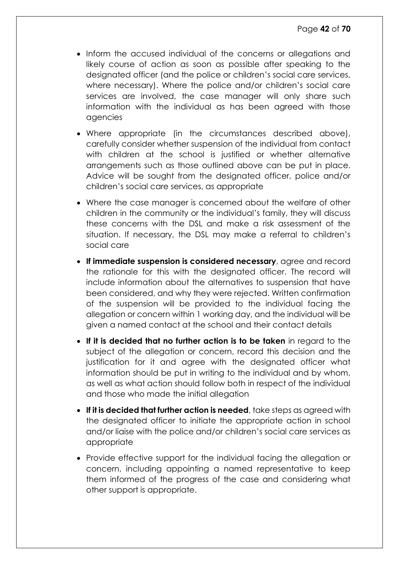- Inform the accused individual of the concerns or allegations and likely course of action as soon as possible after speaking to the designated officer (and the police or children's social care services, where necessary). Where the police and/or children's social care services are involved, the case manager will only share such information with the individual as has been agreed with those agencies
- Where appropriate (in the circumstances described above), carefully consider whether suspension of the individual from contact with children at the school is justified or whether alternative arrangements such as those outlined above can be put in place. Advice will be sought from the designated officer, police and/or children's social care services, as appropriate
- Where the case manager is concerned about the welfare of other children in the community or the individual's family, they will discuss these concerns with the DSL and make a risk assessment of the situation. If necessary, the DSL may make a referral to children's social care
- **If immediate suspension is considered necessary**, agree and record the rationale for this with the designated officer. The record will include information about the alternatives to suspension that have been considered, and why they were rejected. Written confirmation of the suspension will be provided to the individual facing the allegation or concern within 1 working day, and the individual will be given a named contact at the school and their contact details
- **If it is decided that no further action is to be taken** in regard to the subject of the allegation or concern, record this decision and the justification for it and agree with the designated officer what information should be put in writing to the individual and by whom, as well as what action should follow both in respect of the individual and those who made the initial allegation
- **If it is decided that further action is needed**, take steps as agreed with the designated officer to initiate the appropriate action in school and/or liaise with the police and/or children's social care services as appropriate
- Provide effective support for the individual facing the allegation or concern, including appointing a named representative to keep them informed of the progress of the case and considering what other support is appropriate.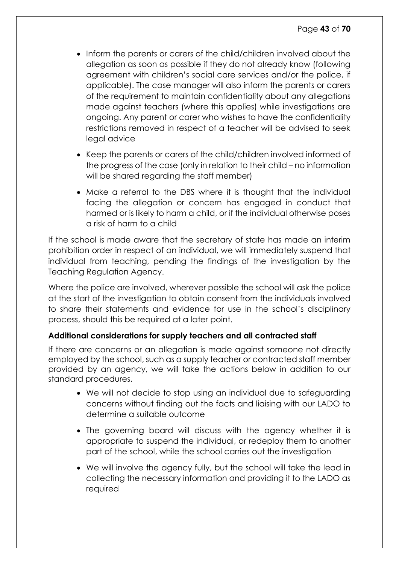- Inform the parents or carers of the child/children involved about the allegation as soon as possible if they do not already know (following agreement with children's social care services and/or the police, if applicable). The case manager will also inform the parents or carers of the requirement to maintain confidentiality about any allegations made against teachers (where this applies) while investigations are ongoing. Any parent or carer who wishes to have the confidentiality restrictions removed in respect of a teacher will be advised to seek legal advice
- Keep the parents or carers of the child/children involved informed of the progress of the case (only in relation to their child – no information will be shared regarding the staff member)
- Make a referral to the DBS where it is thought that the individual facing the allegation or concern has engaged in conduct that harmed or is likely to harm a child, or if the individual otherwise poses a risk of harm to a child

If the school is made aware that the secretary of state has made an interim prohibition order in respect of an individual, we will immediately suspend that individual from teaching, pending the findings of the investigation by the Teaching Regulation Agency.

Where the police are involved, wherever possible the school will ask the police at the start of the investigation to obtain consent from the individuals involved to share their statements and evidence for use in the school's disciplinary process, should this be required at a later point.

# **Additional considerations for supply teachers and all contracted staff**

If there are concerns or an allegation is made against someone not directly employed by the school, such as a supply teacher or contracted staff member provided by an agency, we will take the actions below in addition to our standard procedures.

- We will not decide to stop using an individual due to safeguarding concerns without finding out the facts and liaising with our LADO to determine a suitable outcome
- The governing board will discuss with the agency whether it is appropriate to suspend the individual, or redeploy them to another part of the school, while the school carries out the investigation
- We will involve the agency fully, but the school will take the lead in collecting the necessary information and providing it to the LADO as required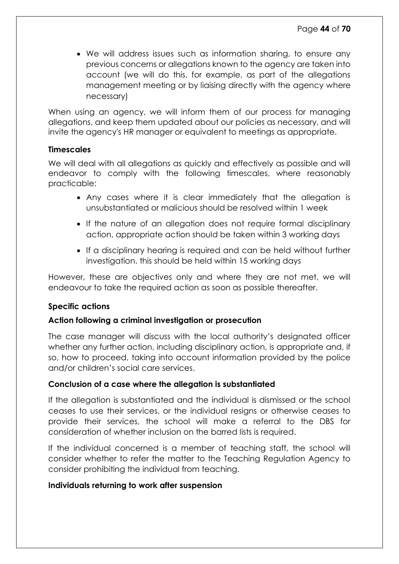We will address issues such as information sharing, to ensure any previous concerns or allegations known to the agency are taken into account (we will do this, for example, as part of the allegations management meeting or by liaising directly with the agency where necessary)

When using an agency, we will inform them of our process for managing allegations, and keep them updated about our policies as necessary, and will invite the agency's HR manager or equivalent to meetings as appropriate.

# **Timescales**

We will deal with all allegations as quickly and effectively as possible and will endeavor to comply with the following timescales, where reasonably practicable:

- Any cases where it is clear immediately that the allegation is unsubstantiated or malicious should be resolved within 1 week
- If the nature of an allegation does not require formal disciplinary action, appropriate action should be taken within 3 working days
- If a disciplinary hearing is required and can be held without further investigation, this should be held within 15 working days

However, these are objectives only and where they are not met, we will endeavour to take the required action as soon as possible thereafter.

# **Specific actions**

# **Action following a criminal investigation or prosecution**

The case manager will discuss with the local authority's designated officer whether any further action, including disciplinary action, is appropriate and, if so, how to proceed, taking into account information provided by the police and/or children's social care services.

# **Conclusion of a case where the allegation is substantiated**

If the allegation is substantiated and the individual is dismissed or the school ceases to use their services, or the individual resigns or otherwise ceases to provide their services, the school will make a referral to the DBS for consideration of whether inclusion on the barred lists is required.

If the individual concerned is a member of teaching staff, the school will consider whether to refer the matter to the Teaching Regulation Agency to consider prohibiting the individual from teaching.

# **Individuals returning to work after suspension**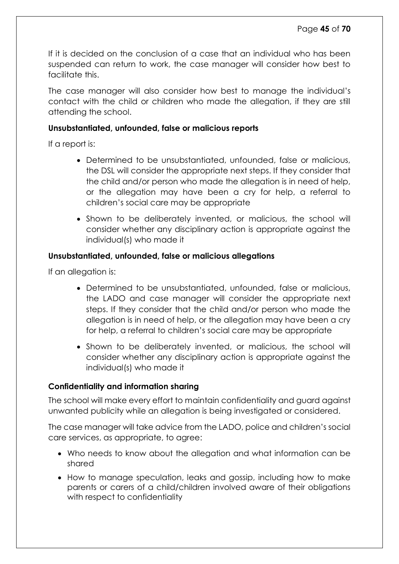If it is decided on the conclusion of a case that an individual who has been suspended can return to work, the case manager will consider how best to facilitate this.

The case manager will also consider how best to manage the individual's contact with the child or children who made the allegation, if they are still attending the school.

# **Unsubstantiated, unfounded, false or malicious reports**

If a report is:

- Determined to be unsubstantiated, unfounded, false or malicious, the DSL will consider the appropriate next steps. If they consider that the child and/or person who made the allegation is in need of help, or the allegation may have been a cry for help, a referral to children's social care may be appropriate
- Shown to be deliberately invented, or malicious, the school will consider whether any disciplinary action is appropriate against the individual(s) who made it

# **Unsubstantiated, unfounded, false or malicious allegations**

If an allegation is:

- Determined to be unsubstantiated, unfounded, false or malicious, the LADO and case manager will consider the appropriate next steps. If they consider that the child and/or person who made the allegation is in need of help, or the allegation may have been a cry for help, a referral to children's social care may be appropriate
- Shown to be deliberately invented, or malicious, the school will consider whether any disciplinary action is appropriate against the individual(s) who made it

# **Confidentiality and information sharing**

The school will make every effort to maintain confidentiality and guard against unwanted publicity while an allegation is being investigated or considered.

The case manager will take advice from the LADO, police and children's social care services, as appropriate, to agree:

- Who needs to know about the allegation and what information can be shared
- How to manage speculation, leaks and gossip, including how to make parents or carers of a child/children involved aware of their obligations with respect to confidentiality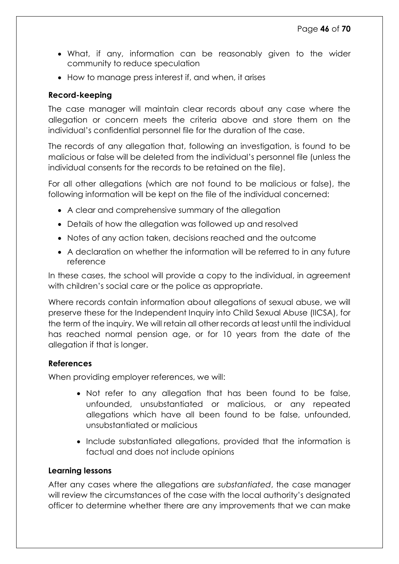- What, if any, information can be reasonably given to the wider community to reduce speculation
- How to manage press interest if, and when, it arises

# **Record-keeping**

The case manager will maintain clear records about any case where the allegation or concern meets the criteria above and store them on the individual's confidential personnel file for the duration of the case.

The records of any allegation that, following an investigation, is found to be malicious or false will be deleted from the individual's personnel file (unless the individual consents for the records to be retained on the file).

For all other allegations (which are not found to be malicious or false), the following information will be kept on the file of the individual concerned:

- A clear and comprehensive summary of the allegation
- Details of how the allegation was followed up and resolved
- Notes of any action taken, decisions reached and the outcome
- A declaration on whether the information will be referred to in any future reference

In these cases, the school will provide a copy to the individual, in agreement with children's social care or the police as appropriate.

Where records contain information about allegations of sexual abuse, we will preserve these for the Independent Inquiry into Child Sexual Abuse (IICSA), for the term of the inquiry. We will retain all other records at least until the individual has reached normal pension age, or for 10 years from the date of the allegation if that is longer.

# **References**

When providing employer references, we will:

- Not refer to any allegation that has been found to be false, unfounded, unsubstantiated or malicious, or any repeated allegations which have all been found to be false, unfounded, unsubstantiated or malicious
- Include substantiated allegations, provided that the information is factual and does not include opinions

# **Learning lessons**

After any cases where the allegations are *substantiated*, the case manager will review the circumstances of the case with the local authority's designated officer to determine whether there are any improvements that we can make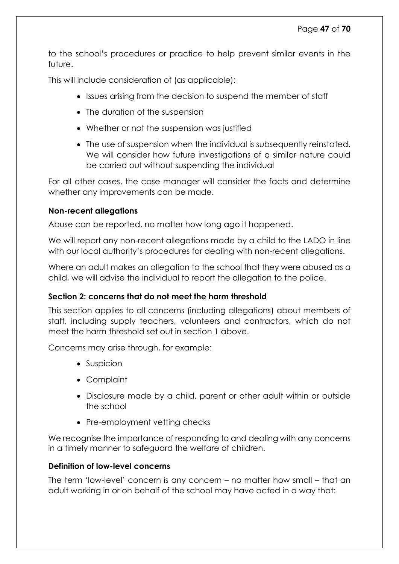to the school's procedures or practice to help prevent similar events in the future.

This will include consideration of (as applicable):

- Issues arising from the decision to suspend the member of staff
- The duration of the suspension
- Whether or not the suspension was justified
- The use of suspension when the individual is subsequently reinstated. We will consider how future investigations of a similar nature could be carried out without suspending the individual

For all other cases, the case manager will consider the facts and determine whether any improvements can be made.

# **Non-recent allegations**

Abuse can be reported, no matter how long ago it happened.

We will report any non-recent allegations made by a child to the LADO in line with our local authority's procedures for dealing with non-recent allegations.

Where an adult makes an allegation to the school that they were abused as a child, we will advise the individual to report the allegation to the police.

# **Section 2: concerns that do not meet the harm threshold**

This section applies to all concerns (including allegations) about members of staff, including supply teachers, volunteers and contractors, which do not meet the harm threshold set out in section 1 above.

Concerns may arise through, for example:

- Suspicion
- Complaint
- Disclosure made by a child, parent or other adult within or outside the school
- Pre-employment vetting checks

We recognise the importance of responding to and dealing with any concerns in a timely manner to safeguard the welfare of children.

# **Definition of low-level concerns**

The term 'low-level' concern is any concern – no matter how small – that an adult working in or on behalf of the school may have acted in a way that: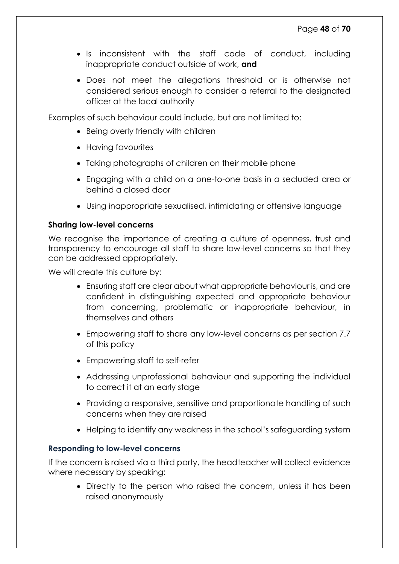- Is inconsistent with the staff code of conduct, including inappropriate conduct outside of work, **and**
- Does not meet the allegations threshold or is otherwise not considered serious enough to consider a referral to the designated officer at the local authority

Examples of such behaviour could include, but are not limited to:

- Being overly friendly with children
- Having favourites
- Taking photographs of children on their mobile phone
- Engaging with a child on a one-to-one basis in a secluded area or behind a closed door
- Using inappropriate sexualised, intimidating or offensive language

# **Sharing low-level concerns**

We recognise the importance of creating a culture of openness, trust and transparency to encourage all staff to share low-level concerns so that they can be addressed appropriately.

We will create this culture by:

- Ensuring staff are clear about what appropriate behaviour is, and are confident in distinguishing expected and appropriate behaviour from concerning, problematic or inappropriate behaviour, in themselves and others
- Empowering staff to share any low-level concerns as per section 7.7 of this policy
- Empowering staff to self-refer
- Addressing unprofessional behaviour and supporting the individual to correct it at an early stage
- Providing a responsive, sensitive and proportionate handling of such concerns when they are raised
- Helping to identify any weakness in the school's safeguarding system

# **Responding to low-level concerns**

If the concern is raised via a third party, the headteacher will collect evidence where necessary by speaking:

 Directly to the person who raised the concern, unless it has been raised anonymously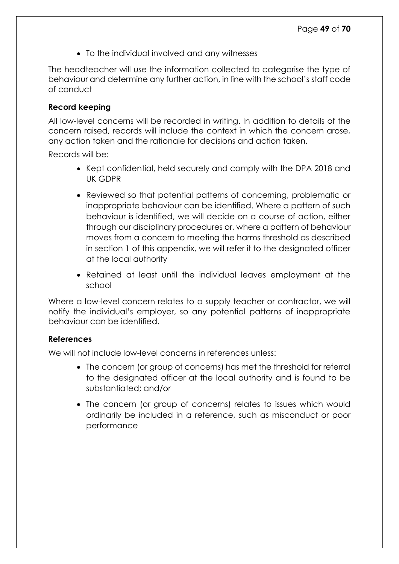To the individual involved and any witnesses

The headteacher will use the information collected to categorise the type of behaviour and determine any further action, in line with the school's staff code of conduct

# **Record keeping**

All low-level concerns will be recorded in writing. In addition to details of the concern raised, records will include the context in which the concern arose, any action taken and the rationale for decisions and action taken.

Records will be:

- Kept confidential, held securely and comply with the DPA 2018 and UK GDPR
- Reviewed so that potential patterns of concerning, problematic or inappropriate behaviour can be identified. Where a pattern of such behaviour is identified, we will decide on a course of action, either through our disciplinary procedures or, where a pattern of behaviour moves from a concern to meeting the harms threshold as described in section 1 of this appendix, we will refer it to the designated officer at the local authority
- Retained at least until the individual leaves employment at the school

Where a low-level concern relates to a supply teacher or contractor, we will notify the individual's employer, so any potential patterns of inappropriate behaviour can be identified.

# **References**

We will not include low-level concerns in references unless:

- The concern (or group of concerns) has met the threshold for referral to the designated officer at the local authority and is found to be substantiated; and/or
- The concern (or group of concerns) relates to issues which would ordinarily be included in a reference, such as misconduct or poor performance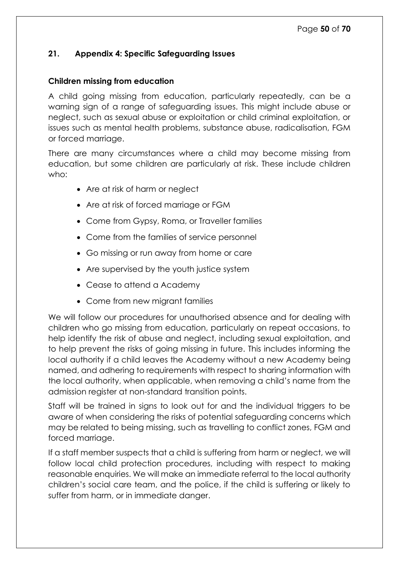# <span id="page-49-0"></span>**21. Appendix 4: Specific Safeguarding Issues**

# **Children missing from education**

A child going missing from education, particularly repeatedly, can be a warning sign of a range of safeguarding issues. This might include abuse or neglect, such as sexual abuse or exploitation or child criminal exploitation, or issues such as mental health problems, substance abuse, radicalisation, FGM or forced marriage.

There are many circumstances where a child may become missing from education, but some children are particularly at risk. These include children who:

- Are at risk of harm or neglect
- Are at risk of forced marriage or FGM
- Come from Gypsy, Roma, or Traveller families
- Come from the families of service personnel
- Go missing or run away from home or care
- Are supervised by the youth justice system
- Cease to attend a Academy
- Come from new migrant families

We will follow our procedures for unauthorised absence and for dealing with children who go missing from education, particularly on repeat occasions, to help identify the risk of abuse and neglect, including sexual exploitation, and to help prevent the risks of going missing in future. This includes informing the local authority if a child leaves the Academy without a new Academy being named, and adhering to requirements with respect to sharing information with the local authority, when applicable, when removing a child's name from the admission register at non-standard transition points.

Staff will be trained in signs to look out for and the individual triggers to be aware of when considering the risks of potential safeguarding concerns which may be related to being missing, such as travelling to conflict zones, FGM and forced marriage.

If a staff member suspects that a child is suffering from harm or neglect, we will follow local child protection procedures, including with respect to making reasonable enquiries. We will make an immediate referral to the local authority children's social care team, and the police, if the child is suffering or likely to suffer from harm, or in immediate danger.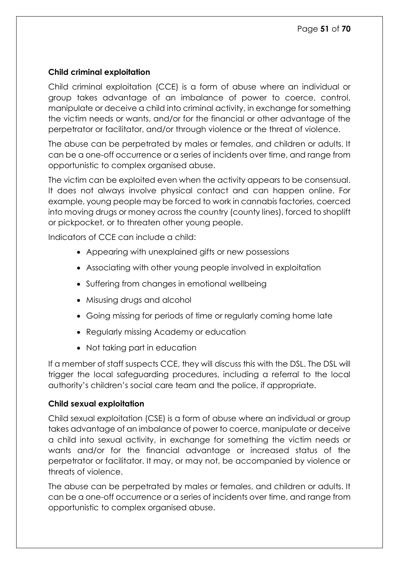# **Child criminal exploitation**

Child criminal exploitation (CCE) is a form of abuse where an individual or group takes advantage of an imbalance of power to coerce, control, manipulate or deceive a child into criminal activity, in exchange for something the victim needs or wants, and/or for the financial or other advantage of the perpetrator or facilitator, and/or through violence or the threat of violence.

The abuse can be perpetrated by males or females, and children or adults. It can be a one-off occurrence or a series of incidents over time, and range from opportunistic to complex organised abuse.

The victim can be exploited even when the activity appears to be consensual. It does not always involve physical contact and can happen online. For example, young people may be forced to work in cannabis factories, coerced into moving drugs or money across the country (county lines), forced to shoplift or pickpocket, or to threaten other young people.

Indicators of CCE can include a child:

- Appearing with unexplained gifts or new possessions
- Associating with other young people involved in exploitation
- Suffering from changes in emotional wellbeing
- Misusing drugs and alcohol
- Going missing for periods of time or regularly coming home late
- Regularly missing Academy or education
- Not taking part in education

If a member of staff suspects CCE, they will discuss this with the DSL. The DSL will trigger the local safeguarding procedures, including a referral to the local authority's children's social care team and the police, if appropriate.

# **Child sexual exploitation**

Child sexual exploitation (CSE) is a form of abuse where an individual or group takes advantage of an imbalance of power to coerce, manipulate or deceive a child into sexual activity, in exchange for something the victim needs or wants and/or for the financial advantage or increased status of the perpetrator or facilitator. It may, or may not, be accompanied by violence or threats of violence.

The abuse can be perpetrated by males or females, and children or adults. It can be a one-off occurrence or a series of incidents over time, and range from opportunistic to complex organised abuse.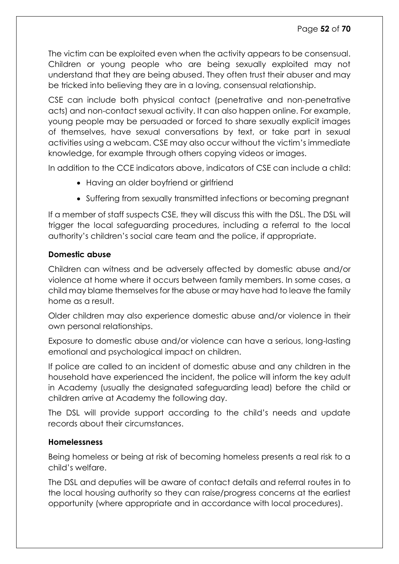The victim can be exploited even when the activity appears to be consensual. Children or young people who are being sexually exploited may not understand that they are being abused. They often trust their abuser and may be tricked into believing they are in a loving, consensual relationship.

CSE can include both physical contact (penetrative and non-penetrative acts) and non-contact sexual activity. It can also happen online. For example, young people may be persuaded or forced to share sexually explicit images of themselves, have sexual conversations by text, or take part in sexual activities using a webcam. CSE may also occur without the victim's immediate knowledge, for example through others copying videos or images.

In addition to the CCE indicators above, indicators of CSE can include a child:

- Having an older boyfriend or girlfriend
- Suffering from sexually transmitted infections or becoming pregnant

If a member of staff suspects CSE, they will discuss this with the DSL. The DSL will trigger the local safeguarding procedures, including a referral to the local authority's children's social care team and the police, if appropriate.

# **Domestic abuse**

Children can witness and be adversely affected by domestic abuse and/or violence at home where it occurs between family members. In some cases, a child may blame themselves for the abuse or may have had to leave the family home as a result.

Older children may also experience domestic abuse and/or violence in their own personal relationships.

Exposure to domestic abuse and/or violence can have a serious, long-lasting emotional and psychological impact on children.

If police are called to an incident of domestic abuse and any children in the household have experienced the incident, the police will inform the key adult in Academy (usually the designated safeguarding lead) before the child or children arrive at Academy the following day.

The DSL will provide support according to the child's needs and update records about their circumstances.

# **Homelessness**

Being homeless or being at risk of becoming homeless presents a real risk to a child's welfare.

The DSL and deputies will be aware of contact details and referral routes in to the local housing authority so they can raise/progress concerns at the earliest opportunity (where appropriate and in accordance with local procedures).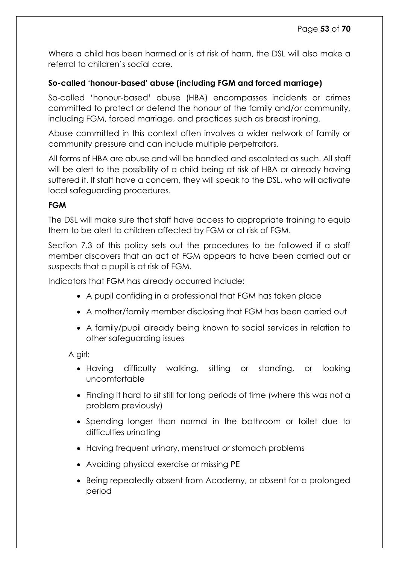Where a child has been harmed or is at risk of harm, the DSL will also make a referral to children's social care.

# **So-called 'honour-based' abuse (including FGM and forced marriage)**

So-called 'honour-based' abuse (HBA) encompasses incidents or crimes committed to protect or defend the honour of the family and/or community, including FGM, forced marriage, and practices such as breast ironing.

Abuse committed in this context often involves a wider network of family or community pressure and can include multiple perpetrators.

All forms of HBA are abuse and will be handled and escalated as such. All staff will be alert to the possibility of a child being at risk of HBA or already having suffered it. If staff have a concern, they will speak to the DSL, who will activate local safeguarding procedures.

# **FGM**

The DSL will make sure that staff have access to appropriate training to equip them to be alert to children affected by FGM or at risk of FGM.

Section 7.3 of this policy sets out the procedures to be followed if a staff member discovers that an act of FGM appears to have been carried out or suspects that a pupil is at risk of FGM.

Indicators that FGM has already occurred include:

- A pupil confiding in a professional that FGM has taken place
- A mother/family member disclosing that FGM has been carried out
- A family/pupil already being known to social services in relation to other safeguarding issues

A girl:

- Having difficulty walking, sitting or standing, or looking uncomfortable
- Finding it hard to sit still for long periods of time (where this was not a problem previously)
- Spending longer than normal in the bathroom or toilet due to difficulties urinating
- Having frequent urinary, menstrual or stomach problems
- Avoiding physical exercise or missing PE
- Being repeatedly absent from Academy, or absent for a prolonged period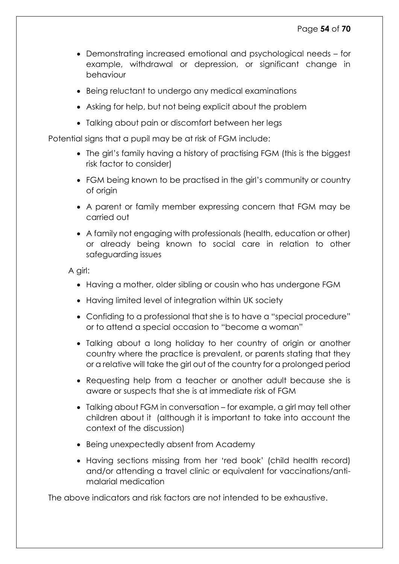- Demonstrating increased emotional and psychological needs for example, withdrawal or depression, or significant change in behaviour
- Being reluctant to undergo any medical examinations
- Asking for help, but not being explicit about the problem
- Talking about pain or discomfort between her legs

Potential signs that a pupil may be at risk of FGM include:

- The girl's family having a history of practising FGM (this is the biggest risk factor to consider)
- FGM being known to be practised in the girl's community or country of origin
- A parent or family member expressing concern that FGM may be carried out
- A family not engaging with professionals (health, education or other) or already being known to social care in relation to other safeguarding issues

A girl:

- Having a mother, older sibling or cousin who has undergone FGM
- Having limited level of integration within UK society
- Confiding to a professional that she is to have a "special procedure" or to attend a special occasion to "become a woman"
- Talking about a long holiday to her country of origin or another country where the practice is prevalent, or parents stating that they or a relative will take the girl out of the country for a prolonged period
- Requesting help from a teacher or another adult because she is aware or suspects that she is at immediate risk of FGM
- Talking about FGM in conversation for example, a girl may tell other children about it (although it is important to take into account the context of the discussion)
- Being unexpectedly absent from Academy
- Having sections missing from her 'red book' (child health record) and/or attending a travel clinic or equivalent for vaccinations/antimalarial medication

The above indicators and risk factors are not intended to be exhaustive.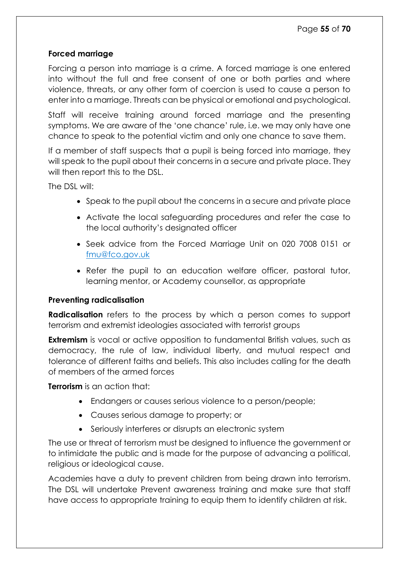# **Forced marriage**

Forcing a person into marriage is a crime. A forced marriage is one entered into without the full and free consent of one or both parties and where violence, threats, or any other form of coercion is used to cause a person to enter into a marriage. Threats can be physical or emotional and psychological.

Staff will receive training around forced marriage and the presenting symptoms. We are aware of the 'one chance' rule, i.e. we may only have one chance to speak to the potential victim and only one chance to save them.

If a member of staff suspects that a pupil is being forced into marriage, they will speak to the pupil about their concerns in a secure and private place. They will then report this to the DSL.

The DSL will:

- Speak to the pupil about the concerns in a secure and private place
- Activate the local safeguarding procedures and refer the case to the local authority's designated officer
- Seek advice from the Forced Marriage Unit on 020 7008 0151 or [fmu@fco.gov.uk](mailto:fmu@fco.gov.uk)
- Refer the pupil to an education welfare officer, pastoral tutor, learning mentor, or Academy counsellor, as appropriate

# **Preventing radicalisation**

**Radicalisation** refers to the process by which a person comes to support terrorism and extremist ideologies associated with terrorist groups

**Extremism** is vocal or active opposition to fundamental British values, such as democracy, the rule of law, individual liberty, and mutual respect and tolerance of different faiths and beliefs. This also includes calling for the death of members of the armed forces

**Terrorism** is an action that:

- Endangers or causes serious violence to a person/people;
- Causes serious damage to property; or
- Seriously interferes or disrupts an electronic system

The use or threat of terrorism must be designed to influence the government or to intimidate the public and is made for the purpose of advancing a political, religious or ideological cause.

Academies have a duty to prevent children from being drawn into terrorism. The DSL will undertake Prevent awareness training and make sure that staff have access to appropriate training to equip them to identify children at risk.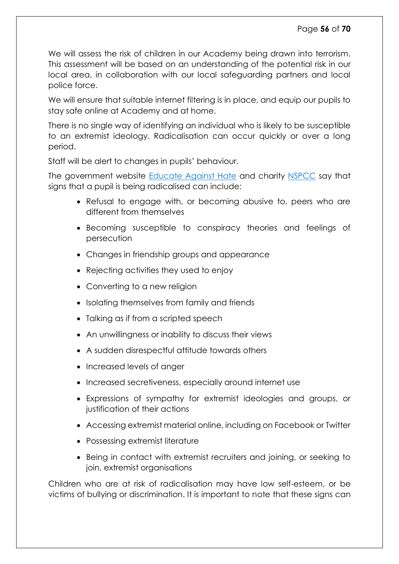We will assess the risk of children in our Academy being drawn into terrorism. This assessment will be based on an understanding of the potential risk in our local area, in collaboration with our local safeguarding partners and local police force.

We will ensure that suitable internet filtering is in place, and equip our pupils to stay safe online at Academy and at home.

There is no single way of identifying an individual who is likely to be susceptible to an extremist ideology. Radicalisation can occur quickly or over a long period.

Staff will be alert to changes in pupils' behaviour.

The government website [Educate Against Hate](http://educateagainsthate.com/parents/what-are-the-warning-signs/) and charity [NSPCC](https://www.nspcc.org.uk/what-you-can-do/report-abuse/dedicated-helplines/protecting-children-from-radicalisation/) say that signs that a pupil is being radicalised can include:

- Refusal to engage with, or becoming abusive to, peers who are different from themselves
- Becoming susceptible to conspiracy theories and feelings of persecution
- Changes in friendship groups and appearance
- Rejecting activities they used to enjoy
- Converting to a new religion
- Isolating themselves from family and friends
- Talking as if from a scripted speech
- An unwillingness or inability to discuss their views
- A sudden disrespectful attitude towards others
- Increased levels of anger
- Increased secretiveness, especially around internet use
- Expressions of sympathy for extremist ideologies and groups, or justification of their actions
- Accessing extremist material online, including on Facebook or Twitter
- Possessing extremist literature
- Being in contact with extremist recruiters and joining, or seeking to join, extremist organisations

Children who are at risk of radicalisation may have low self-esteem, or be victims of bullying or discrimination. It is important to note that these signs can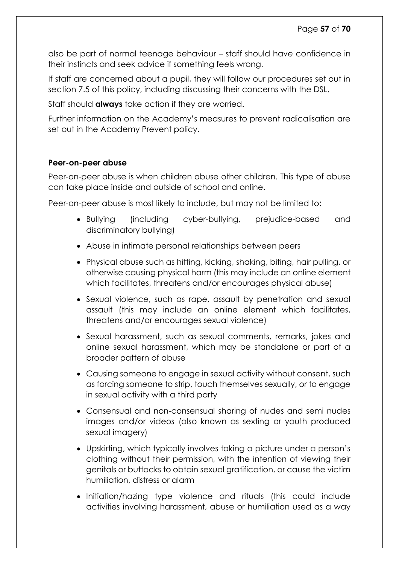also be part of normal teenage behaviour – staff should have confidence in their instincts and seek advice if something feels wrong.

If staff are concerned about a pupil, they will follow our procedures set out in section 7.5 of this policy, including discussing their concerns with the DSL.

Staff should **always** take action if they are worried.

Further information on the Academy's measures to prevent radicalisation are set out in the Academy Prevent policy.

# **Peer-on-peer abuse**

Peer-on-peer abuse is when children abuse other children. This type of abuse can take place inside and outside of school and online.

Peer-on-peer abuse is most likely to include, but may not be limited to:

- Bullying (including cyber-bullying, prejudice-based and discriminatory bullying)
- Abuse in intimate personal relationships between peers
- Physical abuse such as hitting, kicking, shaking, biting, hair pulling, or otherwise causing physical harm (this may include an online element which facilitates, threatens and/or encourages physical abuse)
- Sexual violence, such as rape, assault by penetration and sexual assault (this may include an online element which facilitates, threatens and/or encourages sexual violence)
- Sexual harassment, such as sexual comments, remarks, jokes and online sexual harassment, which may be standalone or part of a broader pattern of abuse
- Causing someone to engage in sexual activity without consent, such as forcing someone to strip, touch themselves sexually, or to engage in sexual activity with a third party
- Consensual and non-consensual sharing of nudes and semi nudes images and/or videos (also known as sexting or youth produced sexual imagery)
- Upskirting, which typically involves taking a picture under a person's clothing without their permission, with the intention of viewing their genitals or buttocks to obtain sexual gratification, or cause the victim humiliation, distress or alarm
- Initiation/hazing type violence and rituals (this could include activities involving harassment, abuse or humiliation used as a way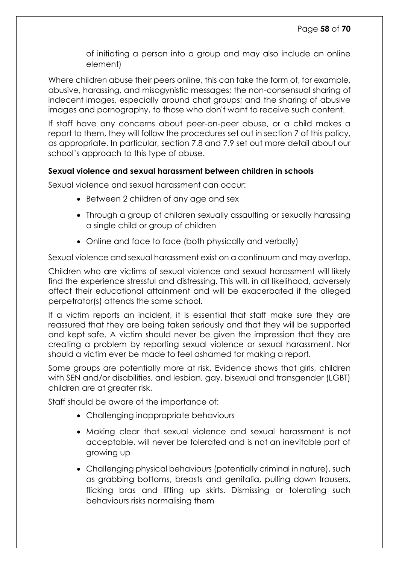of initiating a person into a group and may also include an online element)

Where children abuse their peers online, this can take the form of, for example, abusive, harassing, and misogynistic messages; the non-consensual sharing of indecent images, especially around chat groups; and the sharing of abusive images and pornography, to those who don't want to receive such content.

If staff have any concerns about peer-on-peer abuse, or a child makes a report to them, they will follow the procedures set out in section 7 of this policy, as appropriate. In particular, section 7.8 and 7.9 set out more detail about our school's approach to this type of abuse.

# **Sexual violence and sexual harassment between children in schools**

Sexual violence and sexual harassment can occur:

- Between 2 children of any age and sex
- Through a group of children sexually assaulting or sexually harassing a single child or group of children
- Online and face to face (both physically and verbally)

Sexual violence and sexual harassment exist on a continuum and may overlap.

Children who are victims of sexual violence and sexual harassment will likely find the experience stressful and distressing. This will, in all likelihood, adversely affect their educational attainment and will be exacerbated if the alleged perpetrator(s) attends the same school.

If a victim reports an incident, it is essential that staff make sure they are reassured that they are being taken seriously and that they will be supported and kept safe. A victim should never be given the impression that they are creating a problem by reporting sexual violence or sexual harassment. Nor should a victim ever be made to feel ashamed for making a report.

Some groups are potentially more at risk. Evidence shows that girls, children with SEN and/or disabilities, and lesbian, gay, bisexual and transgender (LGBT) children are at greater risk.

Staff should be aware of the importance of:

- Challenging inappropriate behaviours
- Making clear that sexual violence and sexual harassment is not acceptable, will never be tolerated and is not an inevitable part of growing up
- Challenging physical behaviours (potentially criminal in nature), such as grabbing bottoms, breasts and genitalia, pulling down trousers, flicking bras and lifting up skirts. Dismissing or tolerating such behaviours risks normalising them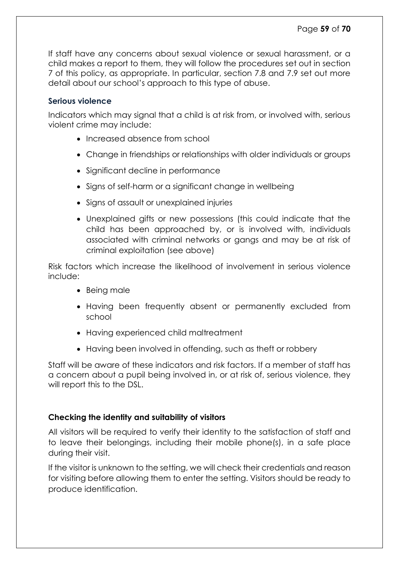If staff have any concerns about sexual violence or sexual harassment, or a child makes a report to them, they will follow the procedures set out in section 7 of this policy, as appropriate. In particular, section 7.8 and 7.9 set out more detail about our school's approach to this type of abuse.

# **Serious violence**

Indicators which may signal that a child is at risk from, or involved with, serious violent crime may include:

- Increased absence from school
- Change in friendships or relationships with older individuals or groups
- Significant decline in performance
- Signs of self-harm or a significant change in wellbeing
- Signs of assault or unexplained injuries
- Unexplained gifts or new possessions (this could indicate that the child has been approached by, or is involved with, individuals associated with criminal networks or gangs and may be at risk of criminal exploitation (see above)

Risk factors which increase the likelihood of involvement in serious violence include:

- Being male
- Having been frequently absent or permanently excluded from school
- Having experienced child maltreatment
- Having been involved in offending, such as theft or robbery

Staff will be aware of these indicators and risk factors. If a member of staff has a concern about a pupil being involved in, or at risk of, serious violence, they will report this to the DSL.

# **Checking the identity and suitability of visitors**

All visitors will be required to verify their identity to the satisfaction of staff and to leave their belongings, including their mobile phone(s), in a safe place during their visit.

If the visitor is unknown to the setting, we will check their credentials and reason for visiting before allowing them to enter the setting. Visitors should be ready to produce identification.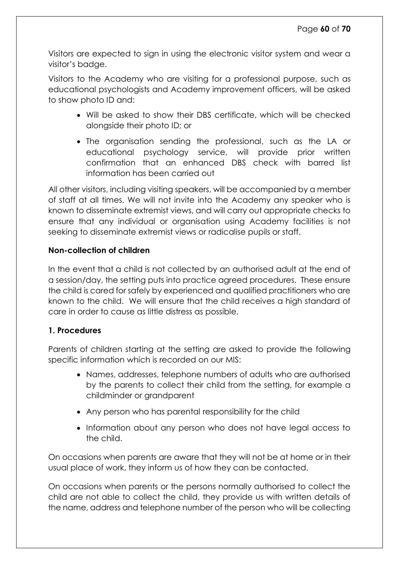Visitors are expected to sign in using the electronic visitor system and wear a visitor's badge.

Visitors to the Academy who are visiting for a professional purpose, such as educational psychologists and Academy improvement officers, will be asked to show photo ID and:

- Will be asked to show their DBS certificate, which will be checked alongside their photo ID; or
- The organisation sending the professional, such as the LA or educational psychology service, will provide prior written confirmation that an enhanced DBS check with barred list information has been carried out

All other visitors, including visiting speakers, will be accompanied by a member of staff at all times. We will not invite into the Academy any speaker who is known to disseminate extremist views, and will carry out appropriate checks to ensure that any individual or organisation using Academy facilities is not seeking to disseminate extremist views or radicalise pupils or staff.

# **Non-collection of children**

In the event that a child is not collected by an authorised adult at the end of a session/day, the setting puts into practice agreed procedures. These ensure the child is cared for safely by experienced and qualified practitioners who are known to the child. We will ensure that the child receives a high standard of care in order to cause as little distress as possible.

# **1. Procedures**

Parents of children starting at the setting are asked to provide the following specific information which is recorded on our MIS:

- Names, addresses, telephone numbers of adults who are authorised by the parents to collect their child from the setting, for example a childminder or grandparent
- Any person who has parental responsibility for the child
- Information about any person who does not have legal access to the child.

On occasions when parents are aware that they will not be at home or in their usual place of work, they inform us of how they can be contacted.

On occasions when parents or the persons normally authorised to collect the child are not able to collect the child, they provide us with written details of the name, address and telephone number of the person who will be collecting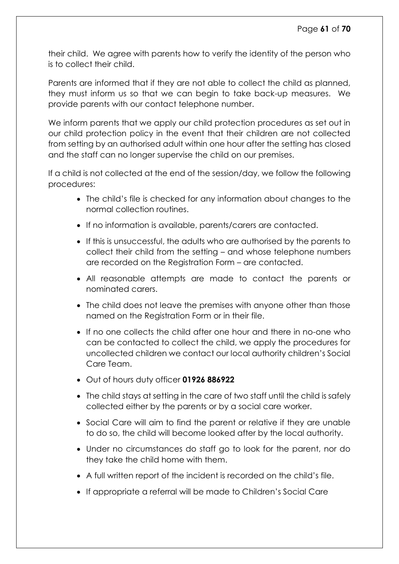their child. We agree with parents how to verify the identity of the person who is to collect their child.

Parents are informed that if they are not able to collect the child as planned, they must inform us so that we can begin to take back-up measures. We provide parents with our contact telephone number.

We inform parents that we apply our child protection procedures as set out in our child protection policy in the event that their children are not collected from setting by an authorised adult within one hour after the setting has closed and the staff can no longer supervise the child on our premises.

If a child is not collected at the end of the session/day, we follow the following procedures:

- The child's file is checked for any information about changes to the normal collection routines.
- If no information is available, parents/carers are contacted.
- If this is unsuccessful, the adults who are authorised by the parents to collect their child from the setting – and whose telephone numbers are recorded on the Registration Form – are contacted.
- All reasonable attempts are made to contact the parents or nominated carers.
- The child does not leave the premises with anyone other than those named on the Registration Form or in their file.
- If no one collects the child after one hour and there in no-one who can be contacted to collect the child, we apply the procedures for uncollected children we contact our local authority children's Social Care Team.
- Out of hours duty officer **01926 886922**
- The child stays at setting in the care of two staff until the child is safely collected either by the parents or by a social care worker.
- Social Care will aim to find the parent or relative if they are unable to do so, the child will become looked after by the local authority.
- Under no circumstances do staff go to look for the parent, nor do they take the child home with them.
- A full written report of the incident is recorded on the child's file.
- If appropriate a referral will be made to Children's Social Care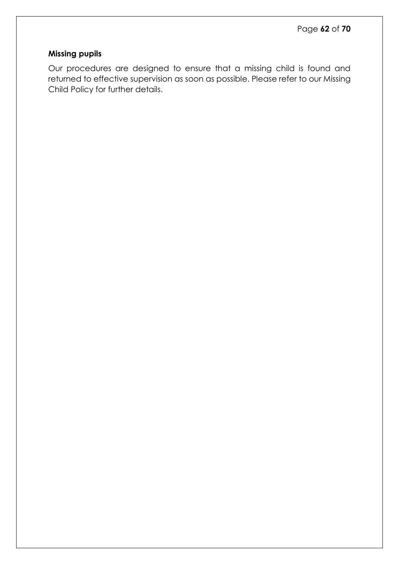# **Missing pupils**

Our procedures are designed to ensure that a missing child is found and returned to effective supervision as soon as possible. Please refer to our Missing Child Policy for further details.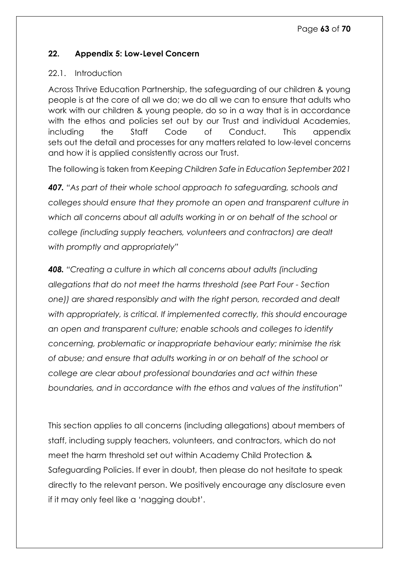# <span id="page-62-0"></span>**22. Appendix 5: Low-Level Concern**

# 22.1. Introduction

Across Thrive Education Partnership, the safeguarding of our children & young people is at the core of all we do; we do all we can to ensure that adults who work with our children & young people, do so in a way that is in accordance with the ethos and policies set out by our Trust and individual Academies, including the Staff Code of Conduct. This appendix sets out the detail and processes for any matters related to low-level concerns and how it is applied consistently across our Trust.

The following is taken from *Keeping Children Safe in Education September 2021*

*407. "As part of their whole school approach to safeguarding, schools and colleges should ensure that they promote an open and transparent culture in which all concerns about all adults working in or on behalf of the school or college (including supply teachers, volunteers and contractors) are dealt with promptly and appropriately"*

*408. "Creating a culture in which all concerns about adults (including allegations that do not meet the harms threshold (see Part Four - Section one)) are shared responsibly and with the right person, recorded and dealt*  with appropriately, is critical. If implemented correctly, this should encourage *an open and transparent culture; enable schools and colleges to identify concerning, problematic or inappropriate behaviour early; minimise the risk of abuse; and ensure that adults working in or on behalf of the school or college are clear about professional boundaries and act within these boundaries, and in accordance with the ethos and values of the institution"*

This section applies to all concerns (including allegations) about members of staff, including supply teachers, volunteers, and contractors, which do not meet the harm threshold set out within Academy Child Protection & Safeguarding Policies. If ever in doubt, then please do not hesitate to speak directly to the relevant person. We positively encourage any disclosure even if it may only feel like a 'nagging doubt'.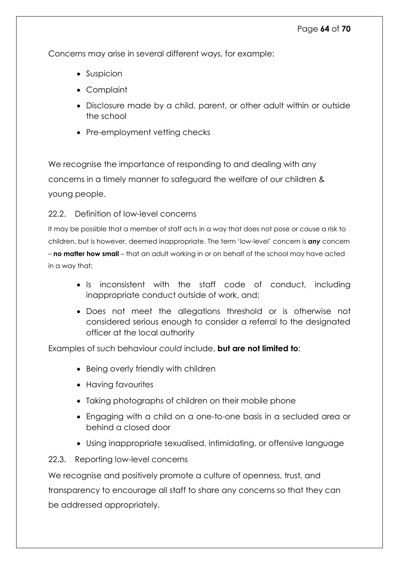Concerns may arise in several different ways, for example:

- Suspicion
- Complaint
- Disclosure made by a child, parent, or other adult within or outside the school
- Pre-employment vetting checks

We recognise the importance of responding to and dealing with any concerns in a timely manner to safeguard the welfare of our children & young people.

# 22.2. Definition of low-level concerns

It may be possible that a member of staff acts in a way that does not pose or cause a risk to children, but is however, deemed inappropriate. The term 'low-level' concern is *any* concern – **no matter how small** – that an adult working in or on behalf of the school may have acted in a way that:

- Is inconsistent with the staff code of conduct, including inappropriate conduct outside of work, and;
- Does not meet the allegations threshold or is otherwise not considered serious enough to consider a referral to the designated officer at the local authority

Examples of such behaviour *could* include, **but are not limited to**:

- Being overly friendly with children
- Having favourites
- Taking photographs of children on their mobile phone
- Engaging with a child on a one-to-one basis in a secluded area or behind a closed door
- Using inappropriate sexualised, intimidating, or offensive language

# 22.3. Reporting low-level concerns

We recognise and positively promote a culture of openness, trust, and transparency to encourage all staff to share any concerns so that they can be addressed appropriately.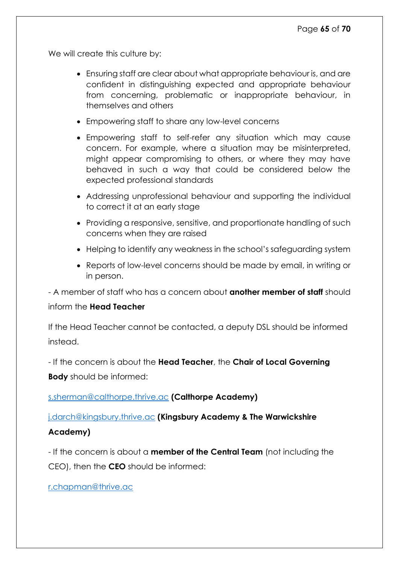We will create this culture by:

- Ensuring staff are clear about what appropriate behaviour is, and are confident in distinguishing expected and appropriate behaviour from concerning, problematic or inappropriate behaviour, in themselves and others
- Empowering staff to share any low-level concerns
- Empowering staff to self-refer any situation which may cause concern. For example, where a situation may be misinterpreted, might appear compromising to others, or where they may have behaved in such a way that could be considered below the expected professional standards
- Addressing unprofessional behaviour and supporting the individual to correct it at an early stage
- Providing a responsive, sensitive, and proportionate handling of such concerns when they are raised
- Helping to identify any weakness in the school's safeguarding system
- Reports of low-level concerns should be made by email, in writing or in person.

- A member of staff who has a concern about **another member of staff** should

# inform the **Head Teacher**

If the Head Teacher cannot be contacted, a deputy DSL should be informed instead.

- If the concern is about the **Head Teacher**, the **Chair of Local Governing** 

**Body** should be informed:

[s.sherman@calthorpe.thrive.ac](mailto:s.sherman@calthorpe.thrive.ac) **(Calthorpe Academy)**

# [j.darch@kingsbury.thrive.ac](mailto:j.darch@kingsbury.thrive.ac) **(Kingsbury Academy & The Warwickshire**

# **Academy)**

- If the concern is about a **member of the Central Team** (not including the CEO), then the **CEO** should be informed:

[r.chapman@thrive.ac](mailto:r.chapman@thrive.ac)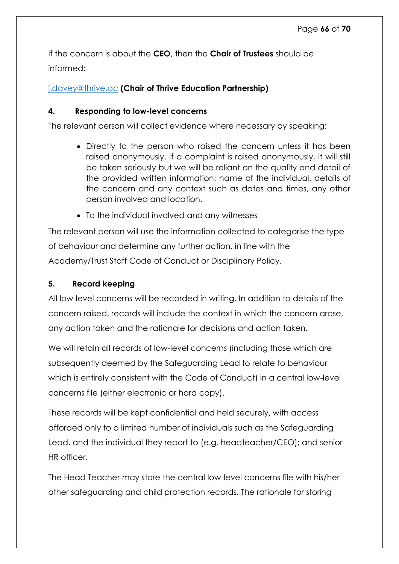If the concern is about the **CEO**, then the **Chair of Trustees** should be informed:

# [j.davey@thrive.ac](mailto:j.davey@thrive.ac) **(Chair of Thrive Education Partnership)**

# **4. Responding to low-level concerns**

The relevant person will collect evidence where necessary by speaking:

- Directly to the person who raised the concern unless it has been raised anonymously. If a complaint is raised anonymously, it will still be taken seriously but we will be reliant on the quality and detail of the provided written information: name of the individual, details of the concern and any context such as dates and times, any other person involved and location.
- To the individual involved and any witnesses

The relevant person will use the information collected to categorise the type of behaviour and determine any further action, in line with the Academy/Trust Staff Code of Conduct or Disciplinary Policy.

# **5. Record keeping**

All low-level concerns will be recorded in writing. In addition to details of the concern raised, records will include the context in which the concern arose, any action taken and the rationale for decisions and action taken.

We will retain all records of low-level concerns (including those which are subsequently deemed by the Safeguarding Lead to relate to behaviour which is entirely consistent with the Code of Conduct) in a central low-level concerns file (either electronic or hard copy).

These records will be kept confidential and held securely, with access afforded only to a limited number of individuals such as the Safeguarding Lead, and the individual they report to (e.g. headteacher/CEO); and senior HR officer.

The Head Teacher may store the central low-level concerns file with his/her other safeguarding and child protection records. The rationale for storing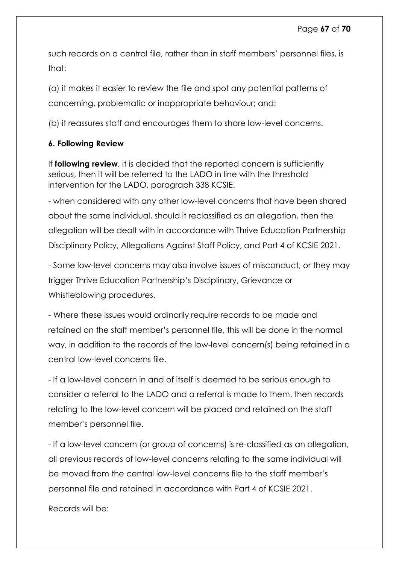such records on a central file, rather than in staff members' personnel files, is that:

(a) it makes it easier to review the file and spot any potential patterns of concerning, problematic or inappropriate behaviour; and:

(b) it reassures staff and encourages them to share low-level concerns.

# **6. Following Review**

If **following review**, it is decided that the reported concern is sufficiently serious, then it will be referred to the LADO in line with the threshold intervention for the LADO, paragraph 338 KCSIE.

- when considered with any other low-level concerns that have been shared about the same individual, should it reclassified as an allegation, then the allegation will be dealt with in accordance with Thrive Education Partnership Disciplinary Policy, Allegations Against Staff Policy, and Part 4 of KCSIE 2021.

- Some low-level concerns may also involve issues of misconduct, or they may trigger Thrive Education Partnership's Disciplinary, Grievance or Whistleblowing procedures.

- Where these issues would ordinarily require records to be made and retained on the staff member's personnel file, this will be done in the normal way, in addition to the records of the low-level concern(s) being retained in a central low-level concerns file.

- If a low-level concern in and of itself is deemed to be serious enough to consider a referral to the LADO and a referral is made to them, then records relating to the low-level concern will be placed and retained on the staff member's personnel file.

- If a low-level concern (or group of concerns) is re-classified as an allegation, all previous records of low-level concerns relating to the same individual will be moved from the central low-level concerns file to the staff member's personnel file and retained in accordance with Part 4 of KCSIE 2021.

Records will be: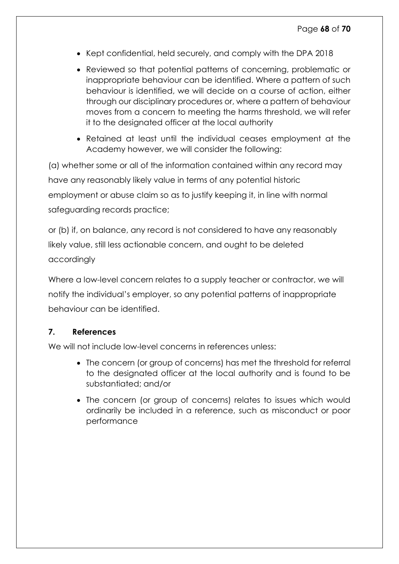- Kept confidential, held securely, and comply with the DPA 2018
- Reviewed so that potential patterns of concerning, problematic or inappropriate behaviour can be identified. Where a pattern of such behaviour is identified, we will decide on a course of action, either through our disciplinary procedures or, where a pattern of behaviour moves from a concern to meeting the harms threshold, we will refer it to the designated officer at the local authority
- Retained at least until the individual ceases employment at the Academy however, we will consider the following:

(a) whether some or all of the information contained within any record may have any reasonably likely value in terms of any potential historic employment or abuse claim so as to justify keeping it, in line with normal safeguarding records practice;

or (b) if, on balance, any record is not considered to have any reasonably likely value, still less actionable concern, and ought to be deleted accordingly

Where a low-level concern relates to a supply teacher or contractor, we will notify the individual's employer, so any potential patterns of inappropriate behaviour can be identified.

# **7. References**

We will not include low-level concerns in references unless:

- The concern (or group of concerns) has met the threshold for referral to the designated officer at the local authority and is found to be substantiated; and/or
- The concern (or group of concerns) relates to issues which would ordinarily be included in a reference, such as misconduct or poor performance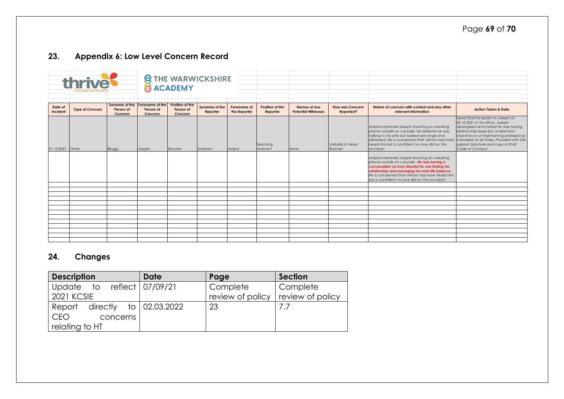# **23. Appendix 6: Low Level Concern Record**

|                     | <b>thrive</b>          |                      | <b>S THE WARWICKSHIRE</b>                              |                                         |                            |                             |                             |                                            |                                     |                                                                                                                                                                                                                                                                                                       |                                                                                                                                                                                                                                                                                                   |
|---------------------|------------------------|----------------------|--------------------------------------------------------|-----------------------------------------|----------------------------|-----------------------------|-----------------------------|--------------------------------------------|-------------------------------------|-------------------------------------------------------------------------------------------------------------------------------------------------------------------------------------------------------------------------------------------------------------------------------------------------------|---------------------------------------------------------------------------------------------------------------------------------------------------------------------------------------------------------------------------------------------------------------------------------------------------|
| Date of<br>Incident | <b>Type of Concern</b> | Person of<br>Concern | Surname of the Forename of the<br>Person of<br>Concern | Position of the<br>Person of<br>Concern | Surname of the<br>Reporter | Forename of<br>the Reporter | Position of the<br>Reporter | Names of any<br><b>Potential Witnesses</b> | <b>How was Concern</b><br>Reported? | Nature of concern with context and any other<br>relevant information                                                                                                                                                                                                                                  | <b>Action Taken &amp; Date</b>                                                                                                                                                                                                                                                                    |
| 01.10.2021 Other    |                        | Bloggs               | Joseph                                                 | Teacher                                 | Solemon                    | Amjad                       | Teaching<br>Assistant       | None                                       | Verbally to Head<br>Teacher         | Amjad overheard Joseph shouting on swearing<br>phone outside on car-park. He believes he was<br>talking to his wife but looked very angry and<br>distressed. He is concerned that visitors may have<br>heard him but is confident no one did on this<br>occasion                                      | Head Teacher spoke to Joseph on<br>02.10.2021 in his office. Joseph<br>apologised and stated he was having<br>relationship issues but understand<br>importance of maintaining professional<br>standards at all times. Provided with SAS<br>support brochure and copy of Staff<br>Code of Conduct. |
|                     |                        |                      |                                                        |                                         |                            |                             |                             |                                            |                                     | Amjad overheard Joseph shouting on swearing<br>phone outside on car-park. He was having a<br>conversation on how stressful he was finding his<br>relationship and managing his work life balance.<br>He is concerned that visitors may have heard him<br>but is confident no one did on this occasion |                                                                                                                                                                                                                                                                                                   |
|                     |                        |                      |                                                        |                                         |                            |                             |                             |                                            |                                     |                                                                                                                                                                                                                                                                                                       |                                                                                                                                                                                                                                                                                                   |
|                     |                        |                      |                                                        |                                         |                            |                             |                             |                                            |                                     |                                                                                                                                                                                                                                                                                                       |                                                                                                                                                                                                                                                                                                   |
|                     |                        |                      |                                                        |                                         |                            |                             |                             |                                            |                                     |                                                                                                                                                                                                                                                                                                       |                                                                                                                                                                                                                                                                                                   |
|                     |                        |                      |                                                        |                                         |                            |                             |                             |                                            |                                     |                                                                                                                                                                                                                                                                                                       |                                                                                                                                                                                                                                                                                                   |
|                     |                        |                      |                                                        |                                         |                            |                             |                             |                                            |                                     |                                                                                                                                                                                                                                                                                                       |                                                                                                                                                                                                                                                                                                   |
|                     |                        |                      |                                                        |                                         |                            |                             |                             |                                            |                                     |                                                                                                                                                                                                                                                                                                       |                                                                                                                                                                                                                                                                                                   |
|                     |                        |                      |                                                        |                                         |                            |                             |                             |                                            |                                     |                                                                                                                                                                                                                                                                                                       |                                                                                                                                                                                                                                                                                                   |
|                     |                        |                      |                                                        |                                         |                            |                             |                             |                                            |                                     |                                                                                                                                                                                                                                                                                                       |                                                                                                                                                                                                                                                                                                   |
|                     |                        |                      |                                                        |                                         |                            |                             |                             |                                            |                                     |                                                                                                                                                                                                                                                                                                       |                                                                                                                                                                                                                                                                                                   |

# <span id="page-68-0"></span>**24. Changes**

<span id="page-68-1"></span>

| <b>Description</b>              | <b>Date</b> | Page             | <b>Section</b>   |
|---------------------------------|-------------|------------------|------------------|
| Update to reflect 07/09/21      |             | Complete         | Complete         |
| <b>2021 KCSIE</b>               |             | review of policy | review of policy |
| Report directly to $02.03.2022$ |             | 23               |                  |
| CEO<br>concerns                 |             |                  |                  |
| relating to HT                  |             |                  |                  |

Page **69** of **70**